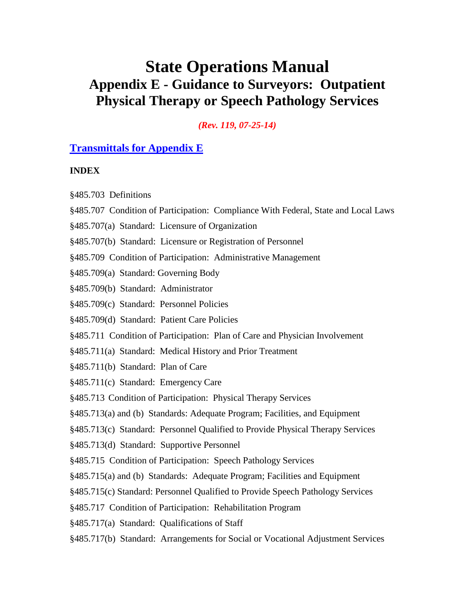# **State Operations Manual Appendix E - Guidance to Surveyors: Outpatient Physical Therapy or Speech Pathology Services**

*(Rev. 119, 07-25-14)*

## **[Transmittals for Appendix E](#page-55-0)**

#### **INDEX**

§485.703 Definitions

- §485.707 Condition of Participation: Compliance With Federal, State and Local Laws
- §485.707(a) Standard: Licensure of Organization
- §485.707(b) Standard: Licensure or Registration of Personnel
- §485.709 Condition of Participation: Administrative Management
- §485.709(a) Standard: Governing Body
- §485.709(b) Standard: Administrator
- §485.709(c) Standard: Personnel Policies
- §485.709(d) Standard: Patient Care Policies
- §485.711 Condition of Participation: Plan of Care and Physician Involvement
- §485.711(a) Standard: Medical History and Prior Treatment
- §485.711(b) Standard: Plan of Care
- §485.711(c) Standard: Emergency Care
- §485.713 Condition of Participation: Physical Therapy Services
- §485.713(a) and (b) Standards: Adequate Program; Facilities, and Equipment
- §485.713(c) Standard: Personnel Qualified to Provide Physical Therapy Services
- §485.713(d) Standard: Supportive Personnel
- §485.715 Condition of Participation: Speech Pathology Services
- §485.715(a) and (b) Standards: Adequate Program; Facilities and Equipment
- §485.715(c) Standard: Personnel Qualified to Provide Speech Pathology Services
- §485.717 Condition of Participation: Rehabilitation Program
- §485.717(a) Standard: Qualifications of Staff
- §485.717(b) Standard: Arrangements for Social or Vocational Adjustment Services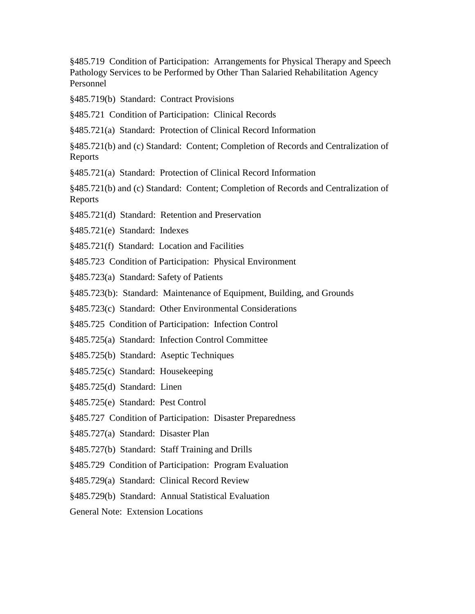§485.719 Condition of Participation: Arrangements for Physical Therapy and Speech Pathology Services to be Performed by Other Than Salaried Rehabilitation Agency Personnel

§485.719(b) Standard: Contract Provisions

§485.721 Condition of Participation: Clinical Records

§485.721(a) Standard: Protection of Clinical Record Information

§485.721(b) and (c) Standard: Content; Completion of Records and Centralization of Reports

§485.721(a) Standard: Protection of Clinical Record Information

§485.721(b) and (c) Standard: Content; Completion of Records and Centralization of Reports

- §485.721(d) Standard: Retention and Preservation
- §485.721(e) Standard: Indexes
- §485.721(f) Standard: Location and Facilities
- §485.723 Condition of Participation: Physical Environment
- §485.723(a) Standard: Safety of Patients
- §485.723(b): Standard: Maintenance of Equipment, Building, and Grounds

§485.723(c) Standard: Other Environmental Considerations

§485.725 Condition of Participation: Infection Control

- §485.725(a) Standard: Infection Control Committee
- §485.725(b) Standard: Aseptic Techniques
- §485.725(c) Standard: Housekeeping
- §485.725(d) Standard: Linen
- §485.725(e) Standard: Pest Control
- §485.727 Condition of Participation: Disaster Preparedness
- §485.727(a) Standard: Disaster Plan
- §485.727(b) Standard: Staff Training and Drills
- §485.729 Condition of Participation: Program Evaluation
- §485.729(a) Standard: Clinical Record Review
- §485.729(b) Standard: Annual Statistical Evaluation
- General Note: Extension Locations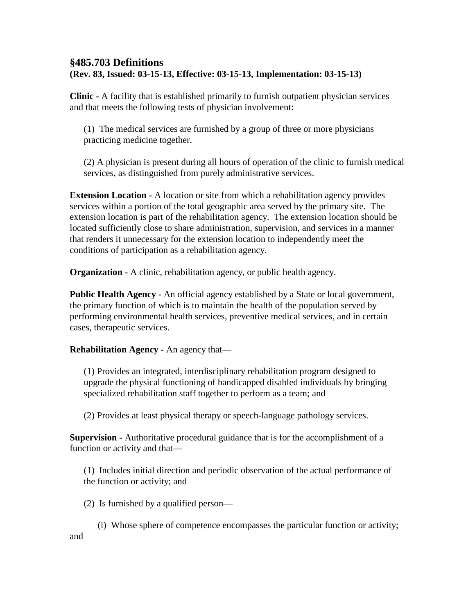## **§485.703 Definitions (Rev. 83, Issued: 03-15-13, Effective: 03-15-13, Implementation: 03-15-13)**

**Clinic -** A facility that is established primarily to furnish outpatient physician services and that meets the following tests of physician involvement:

(1) The medical services are furnished by a group of three or more physicians practicing medicine together.

(2) A physician is present during all hours of operation of the clinic to furnish medical services, as distinguished from purely administrative services.

**Extension Location -** A location or site from which a rehabilitation agency provides services within a portion of the total geographic area served by the primary site. The extension location is part of the rehabilitation agency. The extension location should be located sufficiently close to share administration, supervision, and services in a manner that renders it unnecessary for the extension location to independently meet the conditions of participation as a rehabilitation agency.

**Organization -** A clinic, rehabilitation agency, or public health agency.

**Public Health Agency -** An official agency established by a State or local government, the primary function of which is to maintain the health of the population served by performing environmental health services, preventive medical services, and in certain cases, therapeutic services.

**Rehabilitation Agency -** An agency that—

(1) Provides an integrated, interdisciplinary rehabilitation program designed to upgrade the physical functioning of handicapped disabled individuals by bringing specialized rehabilitation staff together to perform as a team; and

(2) Provides at least physical therapy or speech-language pathology services.

**Supervision -** Authoritative procedural guidance that is for the accomplishment of a function or activity and that—

(1) Includes initial direction and periodic observation of the actual performance of the function or activity; and

(2) Is furnished by a qualified person—

(i) Whose sphere of competence encompasses the particular function or activity; and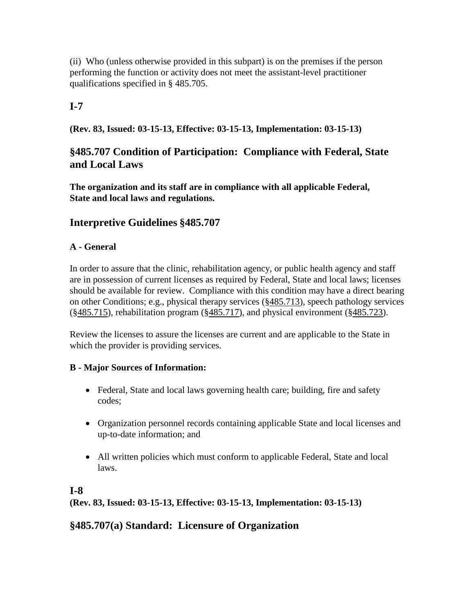(ii) Who (unless otherwise provided in this subpart) is on the premises if the person performing the function or activity does not meet the assistant-level practitioner qualifications specified in § 485.705.

## **I-7**

**(Rev. 83, Issued: 03-15-13, Effective: 03-15-13, Implementation: 03-15-13)**

## **§485.707 Condition of Participation: Compliance with Federal, State and Local Laws**

**The organization and its staff are in compliance with all applicable Federal, State and local laws and regulations.**

## **Interpretive Guidelines §485.707**

#### **A - General**

In order to assure that the clinic, rehabilitation agency, or public health agency and staff are in possession of current licenses as required by Federal, State and local laws; licenses should be available for review. Compliance with this condition may have a direct bearing on other Conditions; e.g., physical therapy services (§485.713), speech pathology services (§485.715), rehabilitation program (§485.717), and physical environment (§485.723).

Review the licenses to assure the licenses are current and are applicable to the State in which the provider is providing services.

#### **B - Major Sources of Information:**

- Federal, State and local laws governing health care; building, fire and safety codes;
- Organization personnel records containing applicable State and local licenses and up-to-date information; and
- All written policies which must conform to applicable Federal, State and local laws.

## **I-8**

**(Rev. 83, Issued: 03-15-13, Effective: 03-15-13, Implementation: 03-15-13)**

## **§485.707(a) Standard: Licensure of Organization**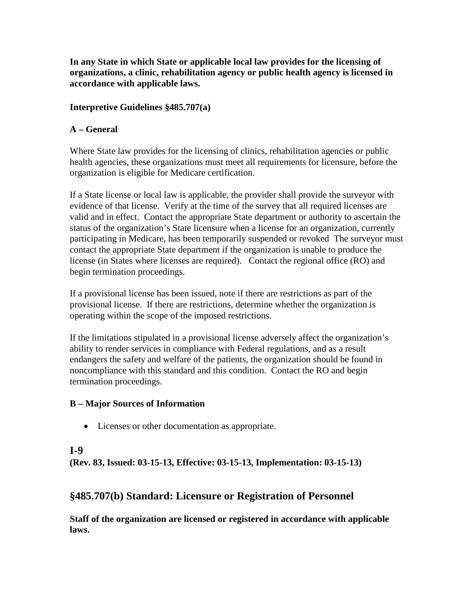**In any State in which State or applicable local law provides for the licensing of organizations, a clinic, rehabilitation agency or public health agency is licensed in accordance with applicable laws.** 

#### **Interpretive Guidelines §485.707(a)**

#### **A – General**

Where State law provides for the licensing of clinics, rehabilitation agencies or public health agencies, these organizations must meet all requirements for licensure, before the organization is eligible for Medicare certification.

If a State license or local law is applicable, the provider shall provide the surveyor with evidence of that license. Verify at the time of the survey that all required licenses are valid and in effect. Contact the appropriate State department or authority to ascertain the status of the organization's State licensure when a license for an organization, currently participating in Medicare, has been temporarily suspended or revoked The surveyor must contact the appropriate State department if the organization is unable to produce the license (in States where licenses are required). Contact the regional office (RO) and begin termination proceedings.

If a provisional license has been issued, note if there are restrictions as part of the provisional license. If there are restrictions, determine whether the organization is operating within the scope of the imposed restrictions.

If the limitations stipulated in a provisional license adversely affect the organization's ability to render services in compliance with Federal regulations, and as a result endangers the safety and welfare of the patients, the organization should be found in noncompliance with this standard and this condition. Contact the RO and begin termination proceedings.

#### **B – Major Sources of Information**

• Licenses or other documentation as appropriate.

## **I-9**

**(Rev. 83, Issued: 03-15-13, Effective: 03-15-13, Implementation: 03-15-13)**

## **§485.707(b) Standard: Licensure or Registration of Personnel**

**Staff of the organization are licensed or registered in accordance with applicable laws.**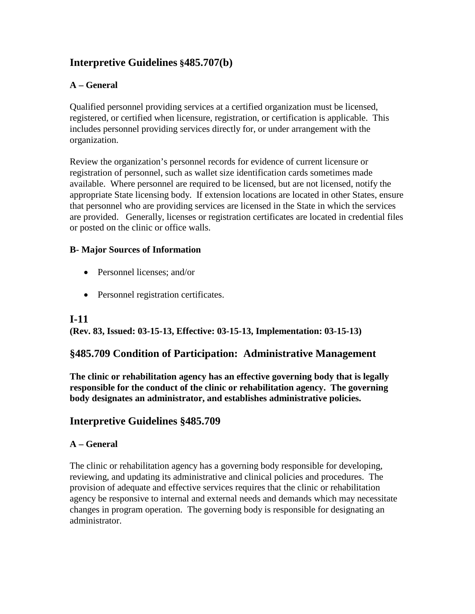## **Interpretive Guidelines §485.707(b)**

## **A – General**

Qualified personnel providing services at a certified organization must be licensed, registered, or certified when licensure, registration, or certification is applicable. This includes personnel providing services directly for, or under arrangement with the organization.

Review the organization's personnel records for evidence of current licensure or registration of personnel, such as wallet size identification cards sometimes made available. Where personnel are required to be licensed, but are not licensed, notify the appropriate State licensing body. If extension locations are located in other States, ensure that personnel who are providing services are licensed in the State in which the services are provided. Generally, licenses or registration certificates are located in credential files or posted on the clinic or office walls.

#### **B- Major Sources of Information**

- Personnel licenses: and/or
- Personnel registration certificates.

#### **I-11**

**(Rev. 83, Issued: 03-15-13, Effective: 03-15-13, Implementation: 03-15-13)**

#### **§485.709 Condition of Participation: Administrative Management**

**The clinic or rehabilitation agency has an effective governing body that is legally responsible for the conduct of the clinic or rehabilitation agency. The governing body designates an administrator, and establishes administrative policies.**

## **Interpretive Guidelines §485.709**

#### **A – General**

The clinic or rehabilitation agency has a governing body responsible for developing, reviewing, and updating its administrative and clinical policies and procedures. The provision of adequate and effective services requires that the clinic or rehabilitation agency be responsive to internal and external needs and demands which may necessitate changes in program operation. The governing body is responsible for designating an administrator.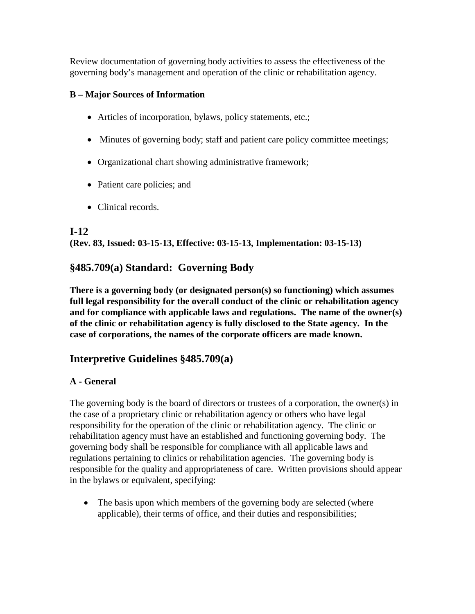Review documentation of governing body activities to assess the effectiveness of the governing body's management and operation of the clinic or rehabilitation agency.

## **B – Major Sources of Information**

- Articles of incorporation, bylaws, policy statements, etc.;
- Minutes of governing body; staff and patient care policy committee meetings;
- Organizational chart showing administrative framework;
- Patient care policies; and
- Clinical records.

## **I-12**

**(Rev. 83, Issued: 03-15-13, Effective: 03-15-13, Implementation: 03-15-13)**

## **§485.709(a) Standard: Governing Body**

**There is a governing body (or designated person(s) so functioning) which assumes full legal responsibility for the overall conduct of the clinic or rehabilitation agency and for compliance with applicable laws and regulations. The name of the owner(s) of the clinic or rehabilitation agency is fully disclosed to the State agency. In the case of corporations, the names of the corporate officers are made known.**

## **Interpretive Guidelines §485.709(a)**

## **A - General**

The governing body is the board of directors or trustees of a corporation, the owner(s) in the case of a proprietary clinic or rehabilitation agency or others who have legal responsibility for the operation of the clinic or rehabilitation agency. The clinic or rehabilitation agency must have an established and functioning governing body. The governing body shall be responsible for compliance with all applicable laws and regulations pertaining to clinics or rehabilitation agencies. The governing body is responsible for the quality and appropriateness of care. Written provisions should appear in the bylaws or equivalent, specifying:

• The basis upon which members of the governing body are selected (where applicable), their terms of office, and their duties and responsibilities;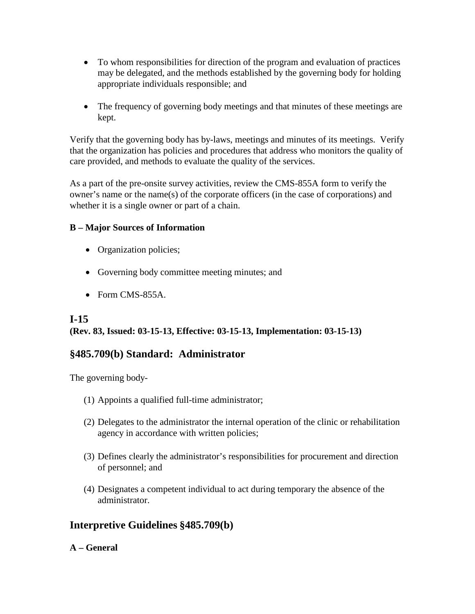- To whom responsibilities for direction of the program and evaluation of practices may be delegated, and the methods established by the governing body for holding appropriate individuals responsible; and
- The frequency of governing body meetings and that minutes of these meetings are kept.

Verify that the governing body has by-laws, meetings and minutes of its meetings. Verify that the organization has policies and procedures that address who monitors the quality of care provided, and methods to evaluate the quality of the services.

As a part of the pre-onsite survey activities, review the CMS-855A form to verify the owner's name or the name(s) of the corporate officers (in the case of corporations) and whether it is a single owner or part of a chain.

#### **B – Major Sources of Information**

- Organization policies;
- Governing body committee meeting minutes; and
- Form CMS-855A.

## **I-15**

## **(Rev. 83, Issued: 03-15-13, Effective: 03-15-13, Implementation: 03-15-13)**

## **§485.709(b) Standard: Administrator**

The governing body-

- (1) Appoints a qualified full-time administrator;
- (2) Delegates to the administrator the internal operation of the clinic or rehabilitation agency in accordance with written policies;
- (3) Defines clearly the administrator's responsibilities for procurement and direction of personnel; and
- (4) Designates a competent individual to act during temporary the absence of the administrator.

## **Interpretive Guidelines §485.709(b)**

#### **A – General**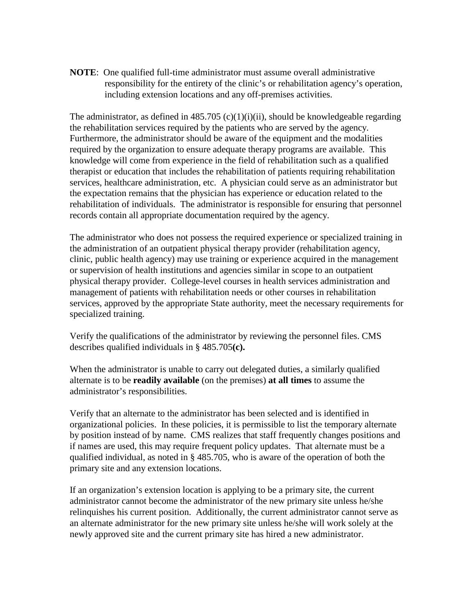**NOTE**: One qualified full-time administrator must assume overall administrative responsibility for the entirety of the clinic's or rehabilitation agency's operation, including extension locations and any off-premises activities.

The administrator, as defined in  $485.705$  (c)(1)(i)(ii), should be knowledgeable regarding the rehabilitation services required by the patients who are served by the agency. Furthermore, the administrator should be aware of the equipment and the modalities required by the organization to ensure adequate therapy programs are available. This knowledge will come from experience in the field of rehabilitation such as a qualified therapist or education that includes the rehabilitation of patients requiring rehabilitation services, healthcare administration, etc. A physician could serve as an administrator but the expectation remains that the physician has experience or education related to the rehabilitation of individuals. The administrator is responsible for ensuring that personnel records contain all appropriate documentation required by the agency.

The administrator who does not possess the required experience or specialized training in the administration of an outpatient physical therapy provider (rehabilitation agency, clinic, public health agency) may use training or experience acquired in the management or supervision of health institutions and agencies similar in scope to an outpatient physical therapy provider. College-level courses in health services administration and management of patients with rehabilitation needs or other courses in rehabilitation services, approved by the appropriate State authority, meet the necessary requirements for specialized training.

Verify the qualifications of the administrator by reviewing the personnel files. CMS describes qualified individuals in § 485.705**(c).** 

When the administrator is unable to carry out delegated duties, a similarly qualified alternate is to be **readily available** (on the premises) **at all times** to assume the administrator's responsibilities.

Verify that an alternate to the administrator has been selected and is identified in organizational policies. In these policies, it is permissible to list the temporary alternate by position instead of by name. CMS realizes that staff frequently changes positions and if names are used, this may require frequent policy updates. That alternate must be a qualified individual, as noted in § 485.705, who is aware of the operation of both the primary site and any extension locations.

If an organization's extension location is applying to be a primary site, the current administrator cannot become the administrator of the new primary site unless he/she relinquishes his current position. Additionally, the current administrator cannot serve as an alternate administrator for the new primary site unless he/she will work solely at the newly approved site and the current primary site has hired a new administrator.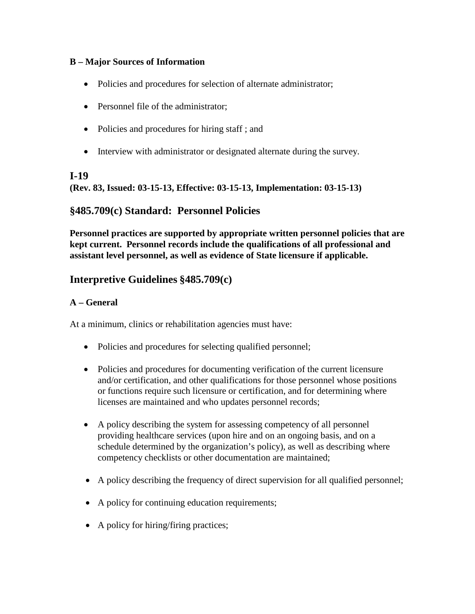#### **B – Major Sources of Information**

- Policies and procedures for selection of alternate administrator;
- Personnel file of the administrator:
- Policies and procedures for hiring staff; and
- Interview with administrator or designated alternate during the survey.

#### **I-19**

**(Rev. 83, Issued: 03-15-13, Effective: 03-15-13, Implementation: 03-15-13)**

## **§485.709(c) Standard: Personnel Policies**

**Personnel practices are supported by appropriate written personnel policies that are kept current. Personnel records include the qualifications of all professional and assistant level personnel, as well as evidence of State licensure if applicable.**

## **Interpretive Guidelines §485.709(c)**

#### **A – General**

At a minimum, clinics or rehabilitation agencies must have:

- Policies and procedures for selecting qualified personnel;
- Policies and procedures for documenting verification of the current licensure and/or certification, and other qualifications for those personnel whose positions or functions require such licensure or certification, and for determining where licenses are maintained and who updates personnel records;
- A policy describing the system for assessing competency of all personnel providing healthcare services (upon hire and on an ongoing basis, and on a schedule determined by the organization's policy), as well as describing where competency checklists or other documentation are maintained;
- A policy describing the frequency of direct supervision for all qualified personnel;
- A policy for continuing education requirements;
- A policy for hiring/firing practices;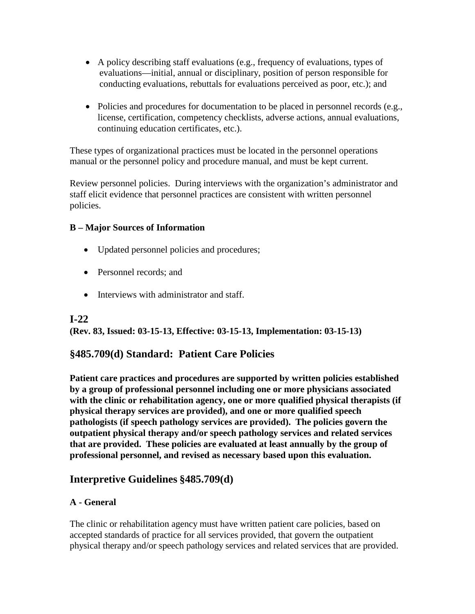- A policy describing staff evaluations (e.g., frequency of evaluations, types of evaluations—initial, annual or disciplinary, position of person responsible for conducting evaluations, rebuttals for evaluations perceived as poor, etc.); and
- Policies and procedures for documentation to be placed in personnel records (e.g., license, certification, competency checklists, adverse actions, annual evaluations, continuing education certificates, etc.).

These types of organizational practices must be located in the personnel operations manual or the personnel policy and procedure manual, and must be kept current.

Review personnel policies. During interviews with the organization's administrator and staff elicit evidence that personnel practices are consistent with written personnel policies.

#### **B – Major Sources of Information**

- Updated personnel policies and procedures;
- Personnel records; and
- Interviews with administrator and staff.

#### **I-22**

**(Rev. 83, Issued: 03-15-13, Effective: 03-15-13, Implementation: 03-15-13)**

## **§485.709(d) Standard: Patient Care Policies**

**Patient care practices and procedures are supported by written policies established by a group of professional personnel including one or more physicians associated with the clinic or rehabilitation agency, one or more qualified physical therapists (if physical therapy services are provided), and one or more qualified speech pathologists (if speech pathology services are provided). The policies govern the outpatient physical therapy and/or speech pathology services and related services that are provided. These policies are evaluated at least annually by the group of professional personnel, and revised as necessary based upon this evaluation.**

## **Interpretive Guidelines §485.709(d)**

#### **A - General**

The clinic or rehabilitation agency must have written patient care policies, based on accepted standards of practice for all services provided, that govern the outpatient physical therapy and/or speech pathology services and related services that are provided.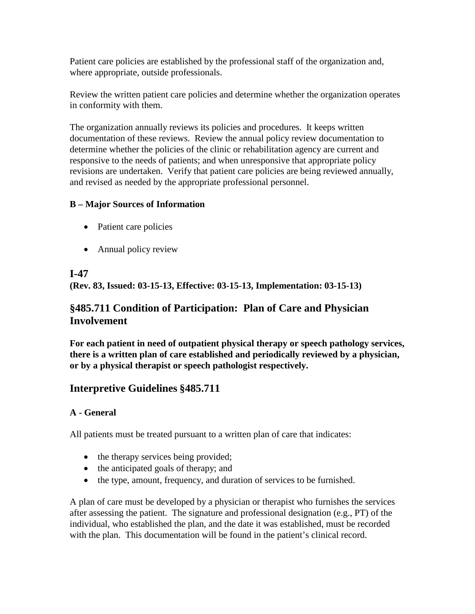Patient care policies are established by the professional staff of the organization and, where appropriate, outside professionals.

Review the written patient care policies and determine whether the organization operates in conformity with them.

The organization annually reviews its policies and procedures. It keeps written documentation of these reviews. Review the annual policy review documentation to determine whether the policies of the clinic or rehabilitation agency are current and responsive to the needs of patients; and when unresponsive that appropriate policy revisions are undertaken. Verify that patient care policies are being reviewed annually, and revised as needed by the appropriate professional personnel.

## **B – Major Sources of Information**

- Patient care policies
- Annual policy review

## **I-47**

**(Rev. 83, Issued: 03-15-13, Effective: 03-15-13, Implementation: 03-15-13)**

## **§485.711 Condition of Participation: Plan of Care and Physician Involvement**

**For each patient in need of outpatient physical therapy or speech pathology services, there is a written plan of care established and periodically reviewed by a physician, or by a physical therapist or speech pathologist respectively.** 

## **Interpretive Guidelines §485.711**

## **A - General**

All patients must be treated pursuant to a written plan of care that indicates:

- the therapy services being provided;
- the anticipated goals of therapy; and
- the type, amount, frequency, and duration of services to be furnished.

A plan of care must be developed by a physician or therapist who furnishes the services after assessing the patient. The signature and professional designation (e.g., PT) of the individual, who established the plan, and the date it was established, must be recorded with the plan. This documentation will be found in the patient's clinical record.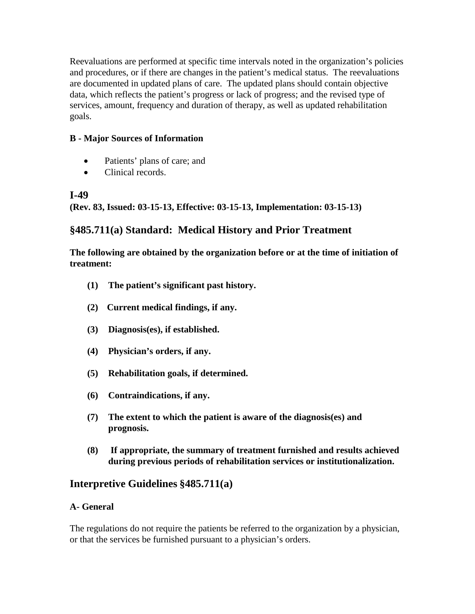Reevaluations are performed at specific time intervals noted in the organization's policies and procedures, or if there are changes in the patient's medical status. The reevaluations are documented in updated plans of care. The updated plans should contain objective data, which reflects the patient's progress or lack of progress; and the revised type of services, amount, frequency and duration of therapy, as well as updated rehabilitation goals.

### **B - Major Sources of Information**

- Patients' plans of care; and
- Clinical records.

#### **I-49**

**(Rev. 83, Issued: 03-15-13, Effective: 03-15-13, Implementation: 03-15-13)**

## **§485.711(a) Standard: Medical History and Prior Treatment**

**The following are obtained by the organization before or at the time of initiation of treatment:**

- **(1) The patient's significant past history.**
- **(2) Current medical findings, if any.**
- **(3) Diagnosis(es), if established.**
- **(4) Physician's orders, if any.**
- **(5) Rehabilitation goals, if determined.**
- **(6) Contraindications, if any.**
- **(7) The extent to which the patient is aware of the diagnosis(es) and prognosis.**
- **(8) If appropriate, the summary of treatment furnished and results achieved during previous periods of rehabilitation services or institutionalization.**

## **Interpretive Guidelines §485.711(a)**

#### **A- General**

The regulations do not require the patients be referred to the organization by a physician, or that the services be furnished pursuant to a physician's orders.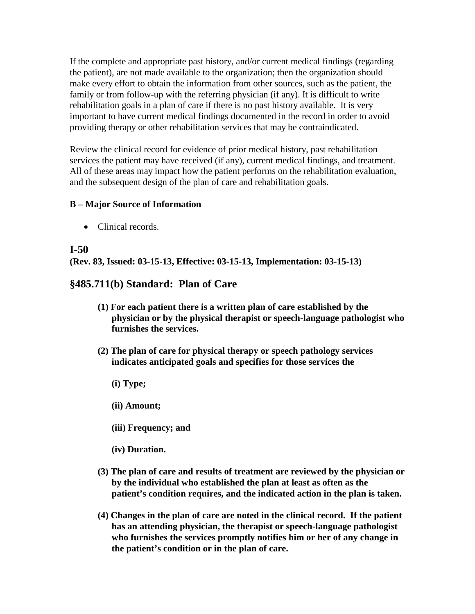If the complete and appropriate past history, and/or current medical findings (regarding the patient), are not made available to the organization; then the organization should make every effort to obtain the information from other sources, such as the patient, the family or from follow-up with the referring physician (if any). It is difficult to write rehabilitation goals in a plan of care if there is no past history available. It is very important to have current medical findings documented in the record in order to avoid providing therapy or other rehabilitation services that may be contraindicated.

Review the clinical record for evidence of prior medical history, past rehabilitation services the patient may have received (if any), current medical findings, and treatment. All of these areas may impact how the patient performs on the rehabilitation evaluation, and the subsequent design of the plan of care and rehabilitation goals.

#### **B – Major Source of Information**

• Clinical records.

#### **I-50**

**(Rev. 83, Issued: 03-15-13, Effective: 03-15-13, Implementation: 03-15-13)**

## **§485.711(b) Standard: Plan of Care**

- **(1) For each patient there is a written plan of care established by the physician or by the physical therapist or speech-language pathologist who furnishes the services.**
- **(2) The plan of care for physical therapy or speech pathology services indicates anticipated goals and specifies for those services the**
	- **(i) Type;**
	- **(ii) Amount;**
	- **(iii) Frequency; and**
	- **(iv) Duration.**
- **(3) The plan of care and results of treatment are reviewed by the physician or by the individual who established the plan at least as often as the patient's condition requires, and the indicated action in the plan is taken.**
- **(4) Changes in the plan of care are noted in the clinical record. If the patient has an attending physician, the therapist or speech-language pathologist who furnishes the services promptly notifies him or her of any change in the patient's condition or in the plan of care.**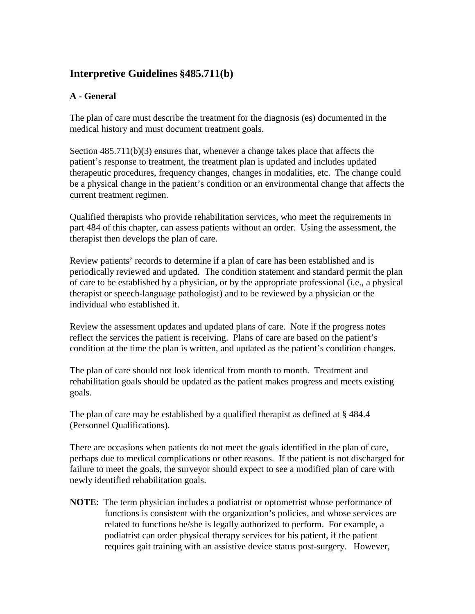## **Interpretive Guidelines §485.711(b)**

#### **A - General**

The plan of care must describe the treatment for the diagnosis (es) documented in the medical history and must document treatment goals.

Section 485.711(b)(3) ensures that, whenever a change takes place that affects the patient's response to treatment, the treatment plan is updated and includes updated therapeutic procedures, frequency changes, changes in modalities, etc. The change could be a physical change in the patient's condition or an environmental change that affects the current treatment regimen.

Qualified therapists who provide rehabilitation services, who meet the requirements in part 484 of this chapter, can assess patients without an order. Using the assessment, the therapist then develops the plan of care.

Review patients' records to determine if a plan of care has been established and is periodically reviewed and updated. The condition statement and standard permit the plan of care to be established by a physician, or by the appropriate professional (i.e., a physical therapist or speech-language pathologist) and to be reviewed by a physician or the individual who established it.

Review the assessment updates and updated plans of care. Note if the progress notes reflect the services the patient is receiving. Plans of care are based on the patient's condition at the time the plan is written, and updated as the patient's condition changes.

The plan of care should not look identical from month to month. Treatment and rehabilitation goals should be updated as the patient makes progress and meets existing goals.

The plan of care may be established by a qualified therapist as defined at § 484.4 (Personnel Qualifications).

There are occasions when patients do not meet the goals identified in the plan of care, perhaps due to medical complications or other reasons. If the patient is not discharged for failure to meet the goals, the surveyor should expect to see a modified plan of care with newly identified rehabilitation goals.

**NOTE**: The term physician includes a podiatrist or optometrist whose performance of functions is consistent with the organization's policies, and whose services are related to functions he/she is legally authorized to perform. For example, a podiatrist can order physical therapy services for his patient, if the patient requires gait training with an assistive device status post-surgery. However,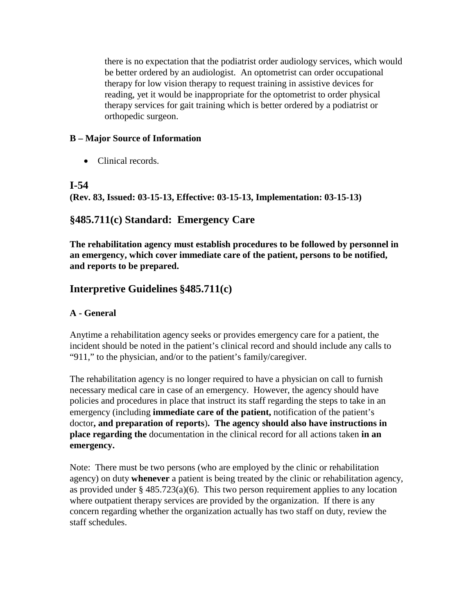there is no expectation that the podiatrist order audiology services, which would be better ordered by an audiologist. An optometrist can order occupational therapy for low vision therapy to request training in assistive devices for reading, yet it would be inappropriate for the optometrist to order physical therapy services for gait training which is better ordered by a podiatrist or orthopedic surgeon.

#### **B – Major Source of Information**

• Clinical records.

## **I-54**

**(Rev. 83, Issued: 03-15-13, Effective: 03-15-13, Implementation: 03-15-13)**

## **§485.711(c) Standard: Emergency Care**

**The rehabilitation agency must establish procedures to be followed by personnel in an emergency, which cover immediate care of the patient, persons to be notified, and reports to be prepared.**

## **Interpretive Guidelines §485.711(c)**

## **A - General**

Anytime a rehabilitation agency seeks or provides emergency care for a patient, the incident should be noted in the patient's clinical record and should include any calls to "911," to the physician, and/or to the patient's family/caregiver.

The rehabilitation agency is no longer required to have a physician on call to furnish necessary medical care in case of an emergency. However, the agency should have policies and procedures in place that instruct its staff regarding the steps to take in an emergency (including **immediate care of the patient,** notification of the patient's doctor**, and preparation of reports**)**. The agency should also have instructions in place regarding the** documentation in the clinical record for all actions taken **in an emergency.**

Note: There must be two persons (who are employed by the clinic or rehabilitation agency) on duty **whenever** a patient is being treated by the clinic or rehabilitation agency, as provided under  $\S$  485.723(a)(6). This two person requirement applies to any location where outpatient therapy services are provided by the organization. If there is any concern regarding whether the organization actually has two staff on duty, review the staff schedules.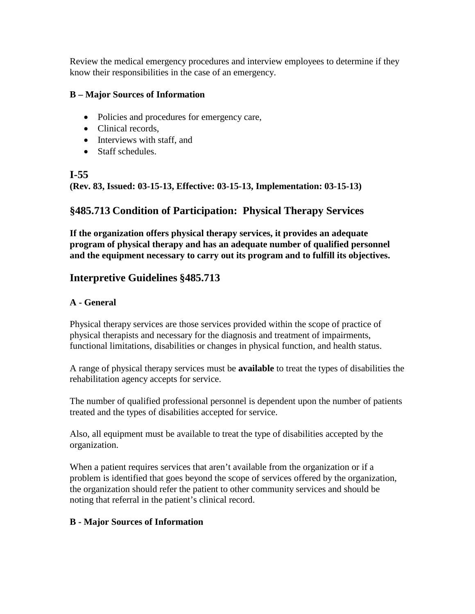Review the medical emergency procedures and interview employees to determine if they know their responsibilities in the case of an emergency.

#### **B – Major Sources of Information**

- Policies and procedures for emergency care,
- Clinical records,
- Interviews with staff, and
- Staff schedules.

## **I-55**

**(Rev. 83, Issued: 03-15-13, Effective: 03-15-13, Implementation: 03-15-13)**

## **§485.713 Condition of Participation: Physical Therapy Services**

**If the organization offers physical therapy services, it provides an adequate program of physical therapy and has an adequate number of qualified personnel and the equipment necessary to carry out its program and to fulfill its objectives.**

## **Interpretive Guidelines §485.713**

## **A - General**

Physical therapy services are those services provided within the scope of practice of physical therapists and necessary for the diagnosis and treatment of impairments, functional limitations, disabilities or changes in physical function, and health status.

A range of physical therapy services must be **available** to treat the types of disabilities the rehabilitation agency accepts for service.

The number of qualified professional personnel is dependent upon the number of patients treated and the types of disabilities accepted for service.

Also, all equipment must be available to treat the type of disabilities accepted by the organization.

When a patient requires services that aren't available from the organization or if a problem is identified that goes beyond the scope of services offered by the organization, the organization should refer the patient to other community services and should be noting that referral in the patient's clinical record.

## **B - Major Sources of Information**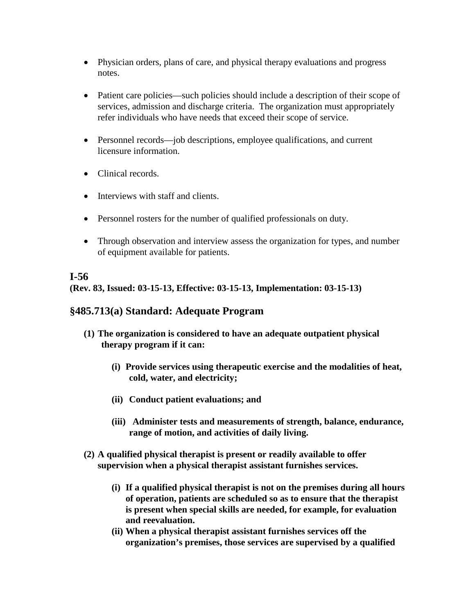- Physician orders, plans of care, and physical therapy evaluations and progress notes.
- Patient care policies—such policies should include a description of their scope of services, admission and discharge criteria. The organization must appropriately refer individuals who have needs that exceed their scope of service.
- Personnel records—job descriptions, employee qualifications, and current licensure information.
- Clinical records.
- Interviews with staff and clients.
- Personnel rosters for the number of qualified professionals on duty.
- Through observation and interview assess the organization for types, and number of equipment available for patients.

## **I-56**

**(Rev. 83, Issued: 03-15-13, Effective: 03-15-13, Implementation: 03-15-13)**

## **§485.713(a) Standard: Adequate Program**

- **(1) The organization is considered to have an adequate outpatient physical therapy program if it can:** 
	- **(i) Provide services using therapeutic exercise and the modalities of heat, cold, water, and electricity;**
	- **(ii) Conduct patient evaluations; and**
	- **(iii) Administer tests and measurements of strength, balance, endurance, range of motion, and activities of daily living.**
- **(2) A qualified physical therapist is present or readily available to offer supervision when a physical therapist assistant furnishes services.**
	- **(i) If a qualified physical therapist is not on the premises during all hours of operation, patients are scheduled so as to ensure that the therapist is present when special skills are needed, for example, for evaluation and reevaluation.**
	- **(ii) When a physical therapist assistant furnishes services off the organization's premises, those services are supervised by a qualified**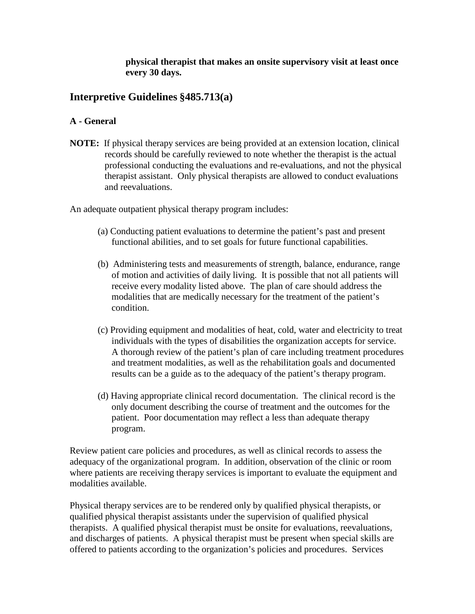**physical therapist that makes an onsite supervisory visit at least once every 30 days.**

## **Interpretive Guidelines §485.713(a)**

#### **A - General**

**NOTE:** If physical therapy services are being provided at an extension location, clinical records should be carefully reviewed to note whether the therapist is the actual professional conducting the evaluations and re-evaluations, and not the physical therapist assistant. Only physical therapists are allowed to conduct evaluations and reevaluations.

An adequate outpatient physical therapy program includes:

- (a) Conducting patient evaluations to determine the patient's past and present functional abilities, and to set goals for future functional capabilities.
- (b) Administering tests and measurements of strength, balance, endurance, range of motion and activities of daily living. It is possible that not all patients will receive every modality listed above. The plan of care should address the modalities that are medically necessary for the treatment of the patient's condition.
- (c) Providing equipment and modalities of heat, cold, water and electricity to treat individuals with the types of disabilities the organization accepts for service. A thorough review of the patient's plan of care including treatment procedures and treatment modalities, as well as the rehabilitation goals and documented results can be a guide as to the adequacy of the patient's therapy program.
- (d) Having appropriate clinical record documentation. The clinical record is the only document describing the course of treatment and the outcomes for the patient. Poor documentation may reflect a less than adequate therapy program.

Review patient care policies and procedures, as well as clinical records to assess the adequacy of the organizational program. In addition, observation of the clinic or room where patients are receiving therapy services is important to evaluate the equipment and modalities available.

Physical therapy services are to be rendered only by qualified physical therapists, or qualified physical therapist assistants under the supervision of qualified physical therapists. A qualified physical therapist must be onsite for evaluations, reevaluations, and discharges of patients. A physical therapist must be present when special skills are offered to patients according to the organization's policies and procedures. Services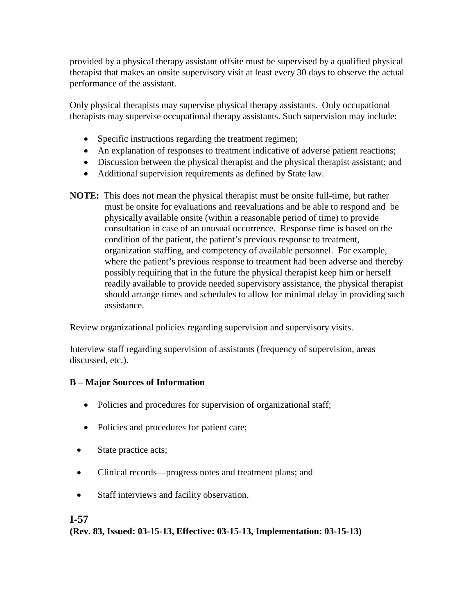provided by a physical therapy assistant offsite must be supervised by a qualified physical therapist that makes an onsite supervisory visit at least every 30 days to observe the actual performance of the assistant.

Only physical therapists may supervise physical therapy assistants. Only occupational therapists may supervise occupational therapy assistants. Such supervision may include:

- Specific instructions regarding the treatment regimen;
- An explanation of responses to treatment indicative of adverse patient reactions;
- Discussion between the physical therapist and the physical therapist assistant; and
- Additional supervision requirements as defined by State law.
- **NOTE:** This does not mean the physical therapist must be onsite full-time, but rather must be onsite for evaluations and reevaluations and be able to respond and be physically available onsite (within a reasonable period of time) to provide consultation in case of an unusual occurrence. Response time is based on the condition of the patient, the patient's previous response to treatment, organization staffing, and competency of available personnel. For example, where the patient's previous response to treatment had been adverse and thereby possibly requiring that in the future the physical therapist keep him or herself readily available to provide needed supervisory assistance, the physical therapist should arrange times and schedules to allow for minimal delay in providing such assistance.

Review organizational policies regarding supervision and supervisory visits.

Interview staff regarding supervision of assistants (frequency of supervision, areas discussed, etc.).

## **B – Major Sources of Information**

- Policies and procedures for supervision of organizational staff;
- Policies and procedures for patient care;
- State practice acts;
- Clinical records—progress notes and treatment plans; and
- Staff interviews and facility observation.

## **I-57**

**(Rev. 83, Issued: 03-15-13, Effective: 03-15-13, Implementation: 03-15-13)**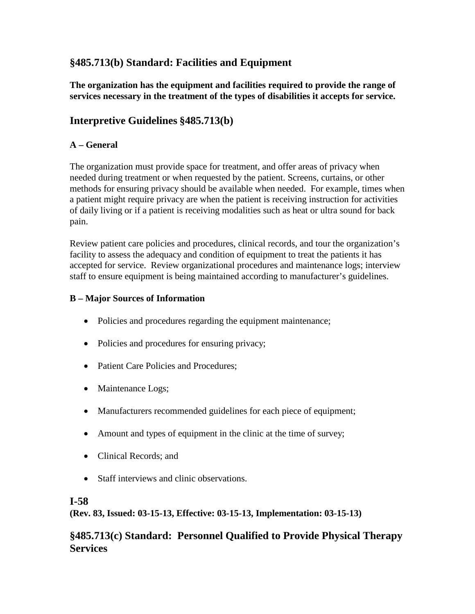## **§485.713(b) Standard: Facilities and Equipment**

**The organization has the equipment and facilities required to provide the range of services necessary in the treatment of the types of disabilities it accepts for service.**

## **Interpretive Guidelines §485.713(b)**

### **A – General**

The organization must provide space for treatment, and offer areas of privacy when needed during treatment or when requested by the patient. Screens, curtains, or other methods for ensuring privacy should be available when needed. For example, times when a patient might require privacy are when the patient is receiving instruction for activities of daily living or if a patient is receiving modalities such as heat or ultra sound for back pain.

Review patient care policies and procedures, clinical records, and tour the organization's facility to assess the adequacy and condition of equipment to treat the patients it has accepted for service. Review organizational procedures and maintenance logs; interview staff to ensure equipment is being maintained according to manufacturer's guidelines.

#### **B – Major Sources of Information**

- Policies and procedures regarding the equipment maintenance;
- Policies and procedures for ensuring privacy;
- Patient Care Policies and Procedures;
- Maintenance Logs;
- Manufacturers recommended guidelines for each piece of equipment;
- Amount and types of equipment in the clinic at the time of survey;
- Clinical Records; and
- Staff interviews and clinic observations.

#### **I-58**

**(Rev. 83, Issued: 03-15-13, Effective: 03-15-13, Implementation: 03-15-13)**

## **§485.713(c) Standard: Personnel Qualified to Provide Physical Therapy Services**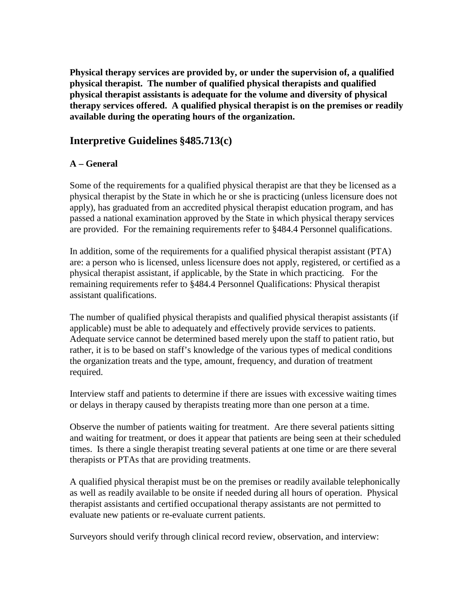**Physical therapy services are provided by, or under the supervision of, a qualified physical therapist. The number of qualified physical therapists and qualified physical therapist assistants is adequate for the volume and diversity of physical therapy services offered. A qualified physical therapist is on the premises or readily available during the operating hours of the organization.**

## **Interpretive Guidelines §485.713(c)**

#### **A – General**

Some of the requirements for a qualified physical therapist are that they be licensed as a physical therapist by the State in which he or she is practicing (unless licensure does not apply), has graduated from an accredited physical therapist education program, and has passed a national examination approved by the State in which physical therapy services are provided. For the remaining requirements refer to §484.4 Personnel qualifications.

In addition, some of the requirements for a qualified physical therapist assistant (PTA) are: a person who is licensed, unless licensure does not apply, registered, or certified as a physical therapist assistant, if applicable, by the State in which practicing. For the remaining requirements refer to §484.4 Personnel Qualifications: Physical therapist assistant qualifications.

The number of qualified physical therapists and qualified physical therapist assistants (if applicable) must be able to adequately and effectively provide services to patients. Adequate service cannot be determined based merely upon the staff to patient ratio, but rather, it is to be based on staff's knowledge of the various types of medical conditions the organization treats and the type, amount, frequency, and duration of treatment required.

Interview staff and patients to determine if there are issues with excessive waiting times or delays in therapy caused by therapists treating more than one person at a time.

Observe the number of patients waiting for treatment. Are there several patients sitting and waiting for treatment, or does it appear that patients are being seen at their scheduled times. Is there a single therapist treating several patients at one time or are there several therapists or PTAs that are providing treatments.

A qualified physical therapist must be on the premises or readily available telephonically as well as readily available to be onsite if needed during all hours of operation. Physical therapist assistants and certified occupational therapy assistants are not permitted to evaluate new patients or re-evaluate current patients.

Surveyors should verify through clinical record review, observation, and interview: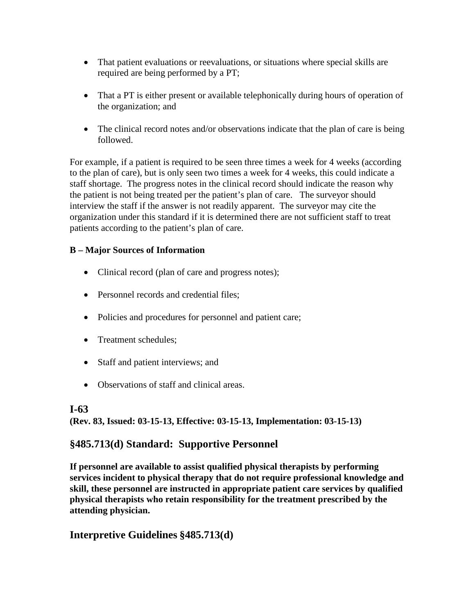- That patient evaluations or reevaluations, or situations where special skills are required are being performed by a PT;
- That a PT is either present or available telephonically during hours of operation of the organization; and
- The clinical record notes and/or observations indicate that the plan of care is being followed.

For example, if a patient is required to be seen three times a week for 4 weeks (according to the plan of care), but is only seen two times a week for 4 weeks, this could indicate a staff shortage. The progress notes in the clinical record should indicate the reason why the patient is not being treated per the patient's plan of care. The surveyor should interview the staff if the answer is not readily apparent. The surveyor may cite the organization under this standard if it is determined there are not sufficient staff to treat patients according to the patient's plan of care.

## **B – Major Sources of Information**

- Clinical record (plan of care and progress notes);
- Personnel records and credential files:
- Policies and procedures for personnel and patient care;
- Treatment schedules:
- Staff and patient interviews; and
- Observations of staff and clinical areas.

#### **I-63**

**(Rev. 83, Issued: 03-15-13, Effective: 03-15-13, Implementation: 03-15-13)**

## **§485.713(d) Standard: Supportive Personnel**

**If personnel are available to assist qualified physical therapists by performing services incident to physical therapy that do not require professional knowledge and skill, these personnel are instructed in appropriate patient care services by qualified physical therapists who retain responsibility for the treatment prescribed by the attending physician.**

## **Interpretive Guidelines §485.713(d)**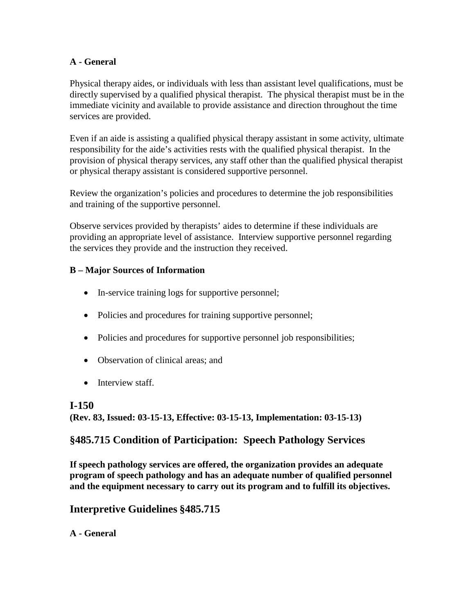### **A - General**

Physical therapy aides, or individuals with less than assistant level qualifications, must be directly supervised by a qualified physical therapist. The physical therapist must be in the immediate vicinity and available to provide assistance and direction throughout the time services are provided.

Even if an aide is assisting a qualified physical therapy assistant in some activity, ultimate responsibility for the aide's activities rests with the qualified physical therapist. In the provision of physical therapy services, any staff other than the qualified physical therapist or physical therapy assistant is considered supportive personnel.

Review the organization's policies and procedures to determine the job responsibilities and training of the supportive personnel.

Observe services provided by therapists' aides to determine if these individuals are providing an appropriate level of assistance. Interview supportive personnel regarding the services they provide and the instruction they received.

#### **B – Major Sources of Information**

- In-service training logs for supportive personnel;
- Policies and procedures for training supportive personnel;
- Policies and procedures for supportive personnel job responsibilities;
- Observation of clinical areas; and
- Interview staff.

## **I-150 (Rev. 83, Issued: 03-15-13, Effective: 03-15-13, Implementation: 03-15-13)**

## **§485.715 Condition of Participation: Speech Pathology Services**

**If speech pathology services are offered, the organization provides an adequate program of speech pathology and has an adequate number of qualified personnel and the equipment necessary to carry out its program and to fulfill its objectives.**

## **Interpretive Guidelines §485.715**

## **A - General**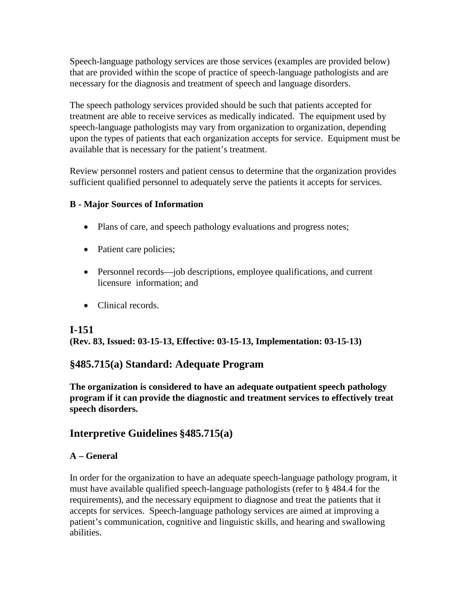Speech-language pathology services are those services (examples are provided below) that are provided within the scope of practice of speech-language pathologists and are necessary for the diagnosis and treatment of speech and language disorders.

The speech pathology services provided should be such that patients accepted for treatment are able to receive services as medically indicated. The equipment used by speech-language pathologists may vary from organization to organization, depending upon the types of patients that each organization accepts for service. Equipment must be available that is necessary for the patient's treatment.

Review personnel rosters and patient census to determine that the organization provides sufficient qualified personnel to adequately serve the patients it accepts for services.

#### **B - Major Sources of Information**

- Plans of care, and speech pathology evaluations and progress notes;
- Patient care policies;
- Personnel records—job descriptions, employee qualifications, and current licensure information; and
- Clinical records.

## **I-151**

**(Rev. 83, Issued: 03-15-13, Effective: 03-15-13, Implementation: 03-15-13)**

## **§485.715(a) Standard: Adequate Program**

**The organization is considered to have an adequate outpatient speech pathology program if it can provide the diagnostic and treatment services to effectively treat speech disorders.**

## **Interpretive Guidelines §485.715(a)**

#### **A – General**

In order for the organization to have an adequate speech-language pathology program, it must have available qualified speech-language pathologists (refer to § 484.4 for the requirements), and the necessary equipment to diagnose and treat the patients that it accepts for services. Speech-language pathology services are aimed at improving a patient's communication, cognitive and linguistic skills, and hearing and swallowing abilities.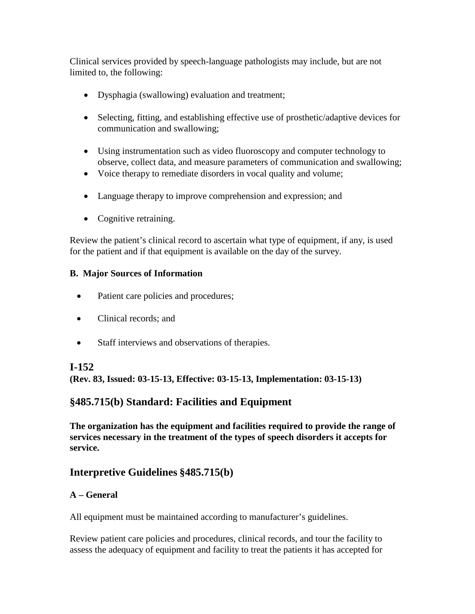Clinical services provided by speech-language pathologists may include, but are not limited to, the following:

- Dysphagia (swallowing) evaluation and treatment;
- Selecting, fitting, and establishing effective use of prosthetic/adaptive devices for communication and swallowing;
- Using instrumentation such as video fluoroscopy and computer technology to observe, collect data, and measure parameters of communication and swallowing;
- Voice therapy to remediate disorders in vocal quality and volume;
- Language therapy to improve comprehension and expression; and
- Cognitive retraining.

Review the patient's clinical record to ascertain what type of equipment, if any, is used for the patient and if that equipment is available on the day of the survey.

## **B. Major Sources of Information**

- Patient care policies and procedures;
- Clinical records: and
- Staff interviews and observations of therapies.

## **I-152**

**(Rev. 83, Issued: 03-15-13, Effective: 03-15-13, Implementation: 03-15-13)**

## **§485.715(b) Standard: Facilities and Equipment**

**The organization has the equipment and facilities required to provide the range of services necessary in the treatment of the types of speech disorders it accepts for service.**

## **Interpretive Guidelines §485.715(b)**

## **A – General**

All equipment must be maintained according to manufacturer's guidelines.

Review patient care policies and procedures, clinical records, and tour the facility to assess the adequacy of equipment and facility to treat the patients it has accepted for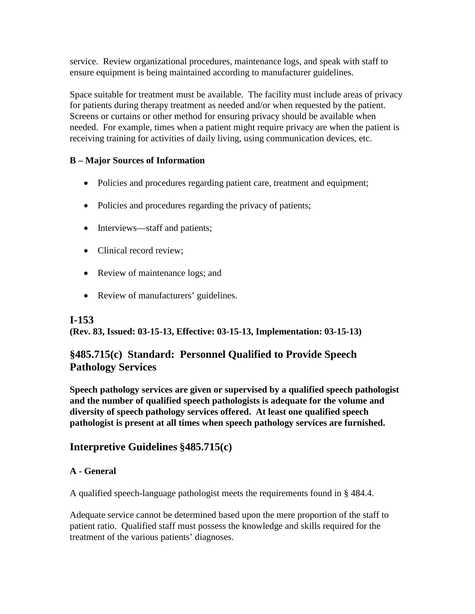service. Review organizational procedures, maintenance logs, and speak with staff to ensure equipment is being maintained according to manufacturer guidelines.

Space suitable for treatment must be available. The facility must include areas of privacy for patients during therapy treatment as needed and/or when requested by the patient. Screens or curtains or other method for ensuring privacy should be available when needed. For example, times when a patient might require privacy are when the patient is receiving training for activities of daily living, using communication devices, etc.

## **B – Major Sources of Information**

- Policies and procedures regarding patient care, treatment and equipment;
- Policies and procedures regarding the privacy of patients;
- Interviews—staff and patients;
- Clinical record review;
- Review of maintenance logs; and
- Review of manufacturers' guidelines.

## **I-153**

**(Rev. 83, Issued: 03-15-13, Effective: 03-15-13, Implementation: 03-15-13)**

## **§485.715(c) Standard: Personnel Qualified to Provide Speech Pathology Services**

**Speech pathology services are given or supervised by a qualified speech pathologist and the number of qualified speech pathologists is adequate for the volume and diversity of speech pathology services offered. At least one qualified speech pathologist is present at all times when speech pathology services are furnished.**

## **Interpretive Guidelines §485.715(c)**

## **A - General**

A qualified speech-language pathologist meets the requirements found in § 484.4.

Adequate service cannot be determined based upon the mere proportion of the staff to patient ratio. Qualified staff must possess the knowledge and skills required for the treatment of the various patients' diagnoses.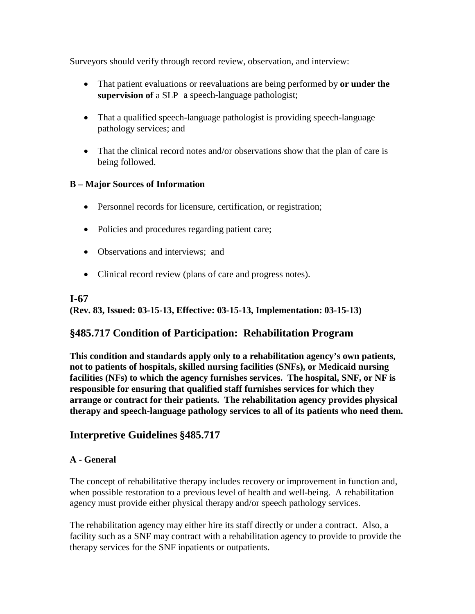Surveyors should verify through record review, observation, and interview:

- That patient evaluations or reevaluations are being performed by **or under the supervision of** a SLP a speech-language pathologist;
- That a qualified speech-language pathologist is providing speech-language pathology services; and
- That the clinical record notes and/or observations show that the plan of care is being followed.

## **B – Major Sources of Information**

- Personnel records for licensure, certification, or registration;
- Policies and procedures regarding patient care;
- Observations and interviews; and
- Clinical record review (plans of care and progress notes).

#### **I-67**

**(Rev. 83, Issued: 03-15-13, Effective: 03-15-13, Implementation: 03-15-13)**

## **§485.717 Condition of Participation: Rehabilitation Program**

**This condition and standards apply only to a rehabilitation agency's own patients, not to patients of hospitals, skilled nursing facilities (SNFs), or Medicaid nursing facilities (NFs) to which the agency furnishes services. The hospital, SNF, or NF is responsible for ensuring that qualified staff furnishes services for which they arrange or contract for their patients. The rehabilitation agency provides physical therapy and speech-language pathology services to all of its patients who need them.**

## **Interpretive Guidelines §485.717**

#### **A - General**

The concept of rehabilitative therapy includes recovery or improvement in function and, when possible restoration to a previous level of health and well-being. A rehabilitation agency must provide either physical therapy and/or speech pathology services.

The rehabilitation agency may either hire its staff directly or under a contract. Also, a facility such as a SNF may contract with a rehabilitation agency to provide to provide the therapy services for the SNF inpatients or outpatients.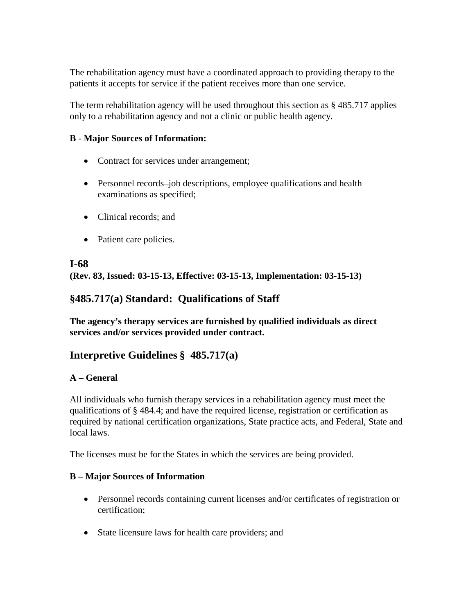The rehabilitation agency must have a coordinated approach to providing therapy to the patients it accepts for service if the patient receives more than one service.

The term rehabilitation agency will be used throughout this section as § 485.717 applies only to a rehabilitation agency and not a clinic or public health agency.

#### **B** - **Major Sources of Information:**

- Contract for services under arrangement;
- Personnel records–job descriptions, employee qualifications and health examinations as specified;
- Clinical records; and
- Patient care policies.

## **I-68 (Rev. 83, Issued: 03-15-13, Effective: 03-15-13, Implementation: 03-15-13)**

## **§485.717(a) Standard: Qualifications of Staff**

**The agency's therapy services are furnished by qualified individuals as direct services and/or services provided under contract.**

## **Interpretive Guidelines § 485.717(a)**

#### **A – General**

All individuals who furnish therapy services in a rehabilitation agency must meet the qualifications of § 484.4; and have the required license, registration or certification as required by national certification organizations, State practice acts, and Federal, State and local laws.

The licenses must be for the States in which the services are being provided.

#### **B – Major Sources of Information**

- Personnel records containing current licenses and/or certificates of registration or certification;
- State licensure laws for health care providers; and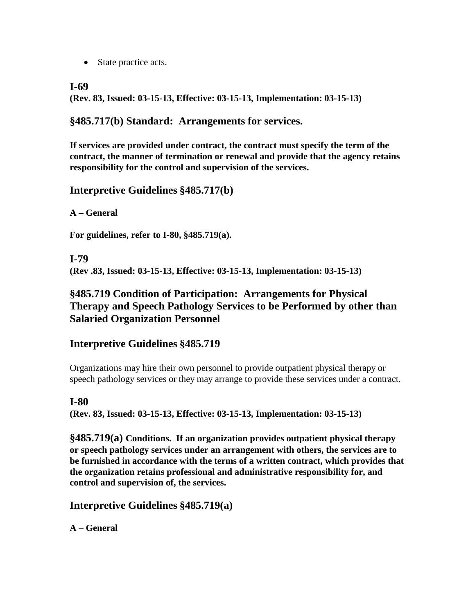• State practice acts.

### **I-69**

**(Rev. 83, Issued: 03-15-13, Effective: 03-15-13, Implementation: 03-15-13)**

## **§485.717(b) Standard: Arrangements for services.**

**If services are provided under contract, the contract must specify the term of the contract, the manner of termination or renewal and provide that the agency retains responsibility for the control and supervision of the services.** 

## **Interpretive Guidelines §485.717(b)**

**A – General**

**For guidelines, refer to I-80, §485.719(a).**

**I-79 (Rev .83, Issued: 03-15-13, Effective: 03-15-13, Implementation: 03-15-13)**

## **§485.719 Condition of Participation: Arrangements for Physical Therapy and Speech Pathology Services to be Performed by other than Salaried Organization Personnel**

## **Interpretive Guidelines §485.719**

Organizations may hire their own personnel to provide outpatient physical therapy or speech pathology services or they may arrange to provide these services under a contract.

## **I-80**

**(Rev. 83, Issued: 03-15-13, Effective: 03-15-13, Implementation: 03-15-13)**

**§485.719(a) Conditions. If an organization provides outpatient physical therapy or speech pathology services under an arrangement with others, the services are to be furnished in accordance with the terms of a written contract, which provides that the organization retains professional and administrative responsibility for, and control and supervision of, the services.**

**Interpretive Guidelines §485.719(a)**

**A – General**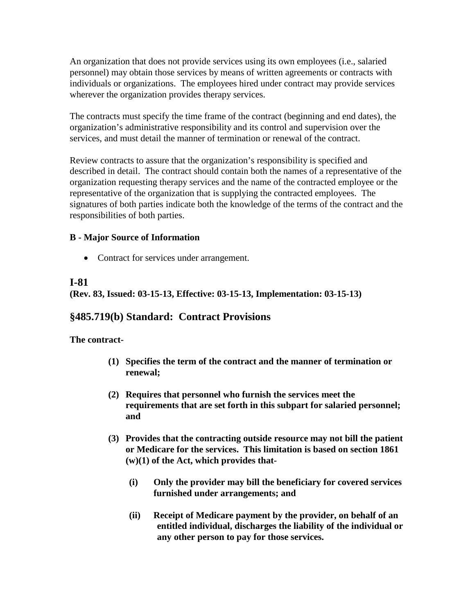An organization that does not provide services using its own employees (i.e., salaried personnel) may obtain those services by means of written agreements or contracts with individuals or organizations. The employees hired under contract may provide services wherever the organization provides therapy services.

The contracts must specify the time frame of the contract (beginning and end dates), the organization's administrative responsibility and its control and supervision over the services, and must detail the manner of termination or renewal of the contract.

Review contracts to assure that the organization's responsibility is specified and described in detail. The contract should contain both the names of a representative of the organization requesting therapy services and the name of the contracted employee or the representative of the organization that is supplying the contracted employees. The signatures of both parties indicate both the knowledge of the terms of the contract and the responsibilities of both parties.

#### **B - Major Source of Information**

• Contract for services under arrangement.

## **I-81**

**(Rev. 83, Issued: 03-15-13, Effective: 03-15-13, Implementation: 03-15-13)**

## **§485.719(b) Standard: Contract Provisions**

**The contract-**

- **(1) Specifies the term of the contract and the manner of termination or renewal;**
- **(2) Requires that personnel who furnish the services meet the requirements that are set forth in this subpart for salaried personnel; and**
- **(3) Provides that the contracting outside resource may not bill the patient or Medicare for the services. This limitation is based on section 1861 (w)(1) of the Act, which provides that-**
	- **(i) Only the provider may bill the beneficiary for covered services furnished under arrangements; and**
	- **(ii) Receipt of Medicare payment by the provider, on behalf of an entitled individual, discharges the liability of the individual or any other person to pay for those services.**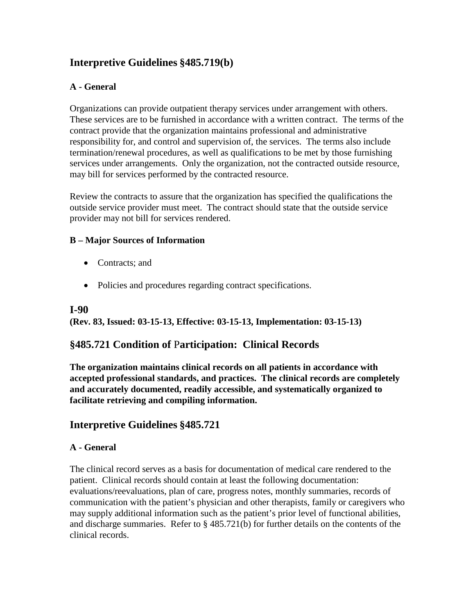## **Interpretive Guidelines §485.719(b)**

### **A - General**

Organizations can provide outpatient therapy services under arrangement with others. These services are to be furnished in accordance with a written contract. The terms of the contract provide that the organization maintains professional and administrative responsibility for, and control and supervision of, the services. The terms also include termination/renewal procedures, as well as qualifications to be met by those furnishing services under arrangements. Only the organization, not the contracted outside resource, may bill for services performed by the contracted resource.

Review the contracts to assure that the organization has specified the qualifications the outside service provider must meet. The contract should state that the outside service provider may not bill for services rendered.

#### **B – Major Sources of Information**

- Contracts: and
- Policies and procedures regarding contract specifications.

#### **I-90**

**(Rev. 83, Issued: 03-15-13, Effective: 03-15-13, Implementation: 03-15-13)**

## **§485.721 Condition of** P**articipation: Clinical Records**

**The organization maintains clinical records on all patients in accordance with accepted professional standards, and practices. The clinical records are completely and accurately documented, readily accessible, and systematically organized to facilitate retrieving and compiling information.**

## **Interpretive Guidelines §485.721**

#### **A - General**

The clinical record serves as a basis for documentation of medical care rendered to the patient. Clinical records should contain at least the following documentation: evaluations/reevaluations, plan of care, progress notes, monthly summaries, records of communication with the patient's physician and other therapists, family or caregivers who may supply additional information such as the patient's prior level of functional abilities, and discharge summaries. Refer to § 485.721(b) for further details on the contents of the clinical records.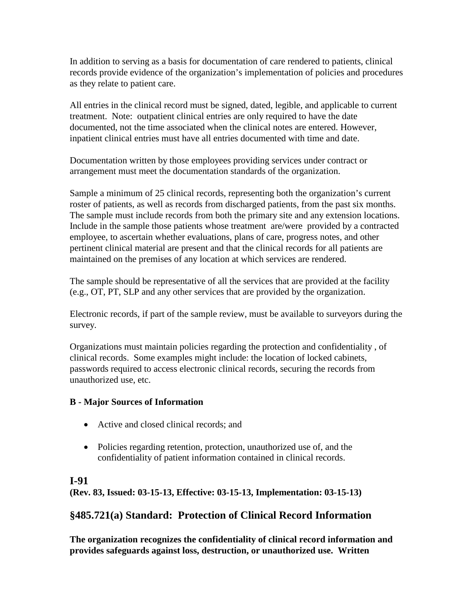In addition to serving as a basis for documentation of care rendered to patients, clinical records provide evidence of the organization's implementation of policies and procedures as they relate to patient care.

All entries in the clinical record must be signed, dated, legible, and applicable to current treatment. Note: outpatient clinical entries are only required to have the date documented, not the time associated when the clinical notes are entered. However, inpatient clinical entries must have all entries documented with time and date.

Documentation written by those employees providing services under contract or arrangement must meet the documentation standards of the organization.

Sample a minimum of 25 clinical records, representing both the organization's current roster of patients, as well as records from discharged patients, from the past six months. The sample must include records from both the primary site and any extension locations. Include in the sample those patients whose treatment are/were provided by a contracted employee, to ascertain whether evaluations, plans of care, progress notes, and other pertinent clinical material are present and that the clinical records for all patients are maintained on the premises of any location at which services are rendered.

The sample should be representative of all the services that are provided at the facility (e.g., OT, PT, SLP and any other services that are provided by the organization.

Electronic records, if part of the sample review, must be available to surveyors during the survey.

Organizations must maintain policies regarding the protection and confidentiality , of clinical records. Some examples might include: the location of locked cabinets, passwords required to access electronic clinical records, securing the records from unauthorized use, etc.

## **B - Major Sources of Information**

- Active and closed clinical records; and
- Policies regarding retention, protection, unauthorized use of, and the confidentiality of patient information contained in clinical records.

## **I-91**

**(Rev. 83, Issued: 03-15-13, Effective: 03-15-13, Implementation: 03-15-13)**

## **§485.721(a) Standard: Protection of Clinical Record Information**

**The organization recognizes the confidentiality of clinical record information and provides safeguards against loss, destruction, or unauthorized use. Written**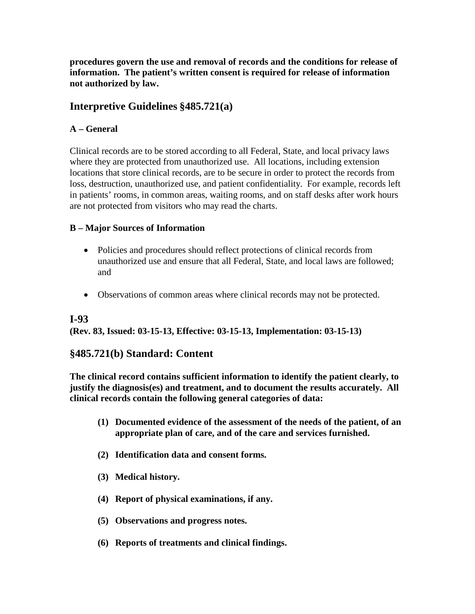**procedures govern the use and removal of records and the conditions for release of information. The patient's written consent is required for release of information not authorized by law.** 

## **Interpretive Guidelines §485.721(a)**

## **A – General**

Clinical records are to be stored according to all Federal, State, and local privacy laws where they are protected from unauthorized use. All locations, including extension locations that store clinical records, are to be secure in order to protect the records from loss, destruction, unauthorized use, and patient confidentiality. For example, records left in patients' rooms, in common areas, waiting rooms, and on staff desks after work hours are not protected from visitors who may read the charts.

## **B – Major Sources of Information**

- Policies and procedures should reflect protections of clinical records from unauthorized use and ensure that all Federal, State, and local laws are followed; and
- Observations of common areas where clinical records may not be protected.

## **I-93**

**(Rev. 83, Issued: 03-15-13, Effective: 03-15-13, Implementation: 03-15-13)**

## **§485.721(b) Standard: Content**

**The clinical record contains sufficient information to identify the patient clearly, to justify the diagnosis(es) and treatment, and to document the results accurately. All clinical records contain the following general categories of data:** 

- **(1) Documented evidence of the assessment of the needs of the patient, of an appropriate plan of care, and of the care and services furnished.**
- **(2) Identification data and consent forms.**
- **(3) Medical history.**
- **(4) Report of physical examinations, if any.**
- **(5) Observations and progress notes.**
- **(6) Reports of treatments and clinical findings.**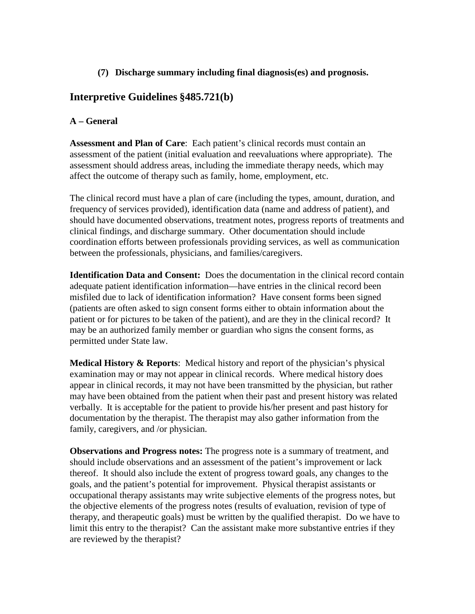#### **(7) Discharge summary including final diagnosis(es) and prognosis.**

## **Interpretive Guidelines §485.721(b)**

### **A – General**

**Assessment and Plan of Care**: Each patient's clinical records must contain an assessment of the patient (initial evaluation and reevaluations where appropriate). The assessment should address areas, including the immediate therapy needs, which may affect the outcome of therapy such as family, home, employment, etc.

The clinical record must have a plan of care (including the types, amount, duration, and frequency of services provided), identification data (name and address of patient), and should have documented observations, treatment notes, progress reports of treatments and clinical findings, and discharge summary. Other documentation should include coordination efforts between professionals providing services, as well as communication between the professionals, physicians, and families/caregivers.

**Identification Data and Consent:** Does the documentation in the clinical record contain adequate patient identification information—have entries in the clinical record been misfiled due to lack of identification information? Have consent forms been signed (patients are often asked to sign consent forms either to obtain information about the patient or for pictures to be taken of the patient), and are they in the clinical record? It may be an authorized family member or guardian who signs the consent forms, as permitted under State law.

**Medical History & Reports**: Medical history and report of the physician's physical examination may or may not appear in clinical records. Where medical history does appear in clinical records, it may not have been transmitted by the physician, but rather may have been obtained from the patient when their past and present history was related verbally. It is acceptable for the patient to provide his/her present and past history for documentation by the therapist. The therapist may also gather information from the family, caregivers, and /or physician.

**Observations and Progress notes:** The progress note is a summary of treatment, and should include observations and an assessment of the patient's improvement or lack thereof. It should also include the extent of progress toward goals, any changes to the goals, and the patient's potential for improvement. Physical therapist assistants or occupational therapy assistants may write subjective elements of the progress notes, but the objective elements of the progress notes (results of evaluation, revision of type of therapy, and therapeutic goals) must be written by the qualified therapist. Do we have to limit this entry to the therapist? Can the assistant make more substantive entries if they are reviewed by the therapist?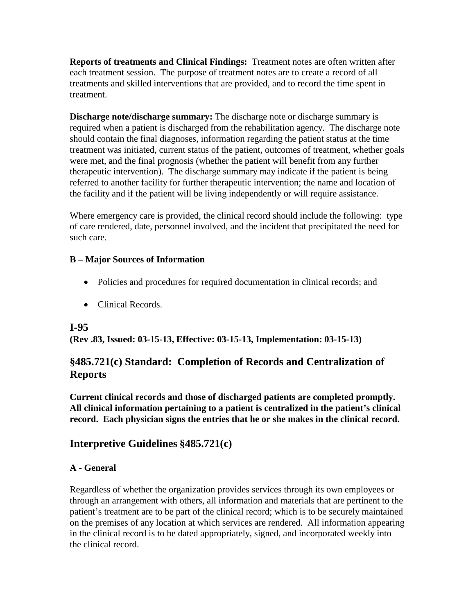**Reports of treatments and Clinical Findings:** Treatment notes are often written after each treatment session. The purpose of treatment notes are to create a record of all treatments and skilled interventions that are provided, and to record the time spent in treatment.

**Discharge note/discharge summary:** The discharge note or discharge summary is required when a patient is discharged from the rehabilitation agency. The discharge note should contain the final diagnoses, information regarding the patient status at the time treatment was initiated, current status of the patient, outcomes of treatment, whether goals were met, and the final prognosis (whether the patient will benefit from any further therapeutic intervention). The discharge summary may indicate if the patient is being referred to another facility for further therapeutic intervention; the name and location of the facility and if the patient will be living independently or will require assistance.

Where emergency care is provided, the clinical record should include the following: type of care rendered, date, personnel involved, and the incident that precipitated the need for such care.

#### **B – Major Sources of Information**

- Policies and procedures for required documentation in clinical records; and
- Clinical Records.

## **I-95**

**(Rev .83, Issued: 03-15-13, Effective: 03-15-13, Implementation: 03-15-13)**

## **§485.721(c) Standard: Completion of Records and Centralization of Reports**

**Current clinical records and those of discharged patients are completed promptly. All clinical information pertaining to a patient is centralized in the patient's clinical record. Each physician signs the entries that he or she makes in the clinical record.**

## **Interpretive Guidelines §485.721(c)**

## **A - General**

Regardless of whether the organization provides services through its own employees or through an arrangement with others, all information and materials that are pertinent to the patient's treatment are to be part of the clinical record; which is to be securely maintained on the premises of any location at which services are rendered. All information appearing in the clinical record is to be dated appropriately, signed, and incorporated weekly into the clinical record.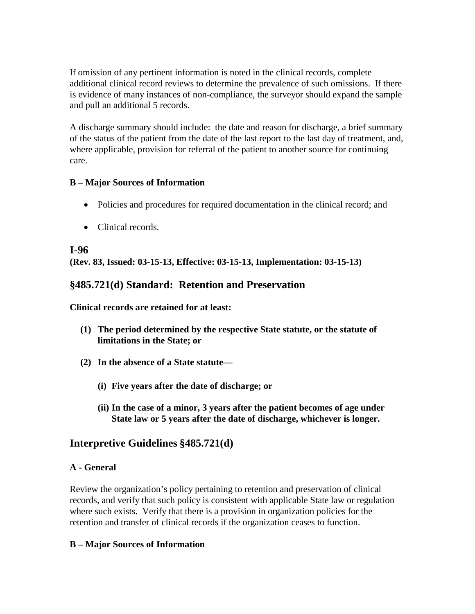If omission of any pertinent information is noted in the clinical records, complete additional clinical record reviews to determine the prevalence of such omissions. If there is evidence of many instances of non-compliance, the surveyor should expand the sample and pull an additional 5 records.

A discharge summary should include: the date and reason for discharge, a brief summary of the status of the patient from the date of the last report to the last day of treatment, and, where applicable, provision for referral of the patient to another source for continuing care.

#### **B – Major Sources of Information**

- Policies and procedures for required documentation in the clinical record; and
- Clinical records.

#### **I-96**

**(Rev. 83, Issued: 03-15-13, Effective: 03-15-13, Implementation: 03-15-13)**

## **§485.721(d) Standard: Retention and Preservation**

**Clinical records are retained for at least:** 

- **(1) The period determined by the respective State statute, or the statute of limitations in the State; or**
- **(2) In the absence of a State statute—**
	- **(i) Five years after the date of discharge; or**
	- **(ii) In the case of a minor, 3 years after the patient becomes of age under State law or 5 years after the date of discharge, whichever is longer.**

## **Interpretive Guidelines §485.721(d)**

#### **A - General**

Review the organization's policy pertaining to retention and preservation of clinical records, and verify that such policy is consistent with applicable State law or regulation where such exists. Verify that there is a provision in organization policies for the retention and transfer of clinical records if the organization ceases to function.

#### **B – Major Sources of Information**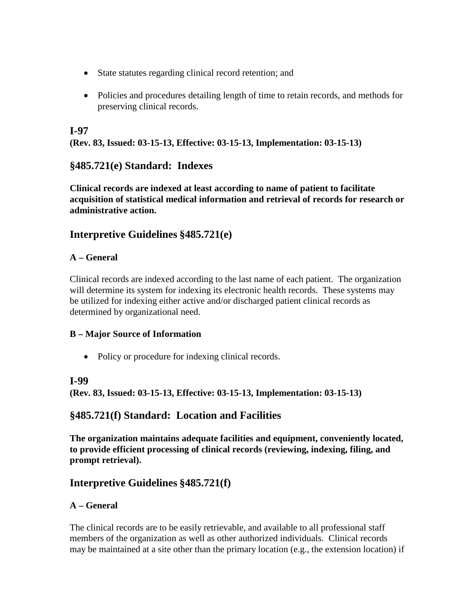- State statutes regarding clinical record retention; and
- Policies and procedures detailing length of time to retain records, and methods for preserving clinical records.

## **I-97**

**(Rev. 83, Issued: 03-15-13, Effective: 03-15-13, Implementation: 03-15-13)**

## **§485.721(e) Standard: Indexes**

**Clinical records are indexed at least according to name of patient to facilitate acquisition of statistical medical information and retrieval of records for research or administrative action.**

## **Interpretive Guidelines §485.721(e)**

#### **A – General**

Clinical records are indexed according to the last name of each patient. The organization will determine its system for indexing its electronic health records. These systems may be utilized for indexing either active and/or discharged patient clinical records as determined by organizational need.

#### **B – Major Source of Information**

• Policy or procedure for indexing clinical records.

## **I-99**

**(Rev. 83, Issued: 03-15-13, Effective: 03-15-13, Implementation: 03-15-13)**

## **§485.721(f) Standard: Location and Facilities**

**The organization maintains adequate facilities and equipment, conveniently located, to provide efficient processing of clinical records (reviewing, indexing, filing, and prompt retrieval).**

## **Interpretive Guidelines §485.721(f)**

## **A – General**

The clinical records are to be easily retrievable, and available to all professional staff members of the organization as well as other authorized individuals. Clinical records may be maintained at a site other than the primary location (e.g., the extension location) if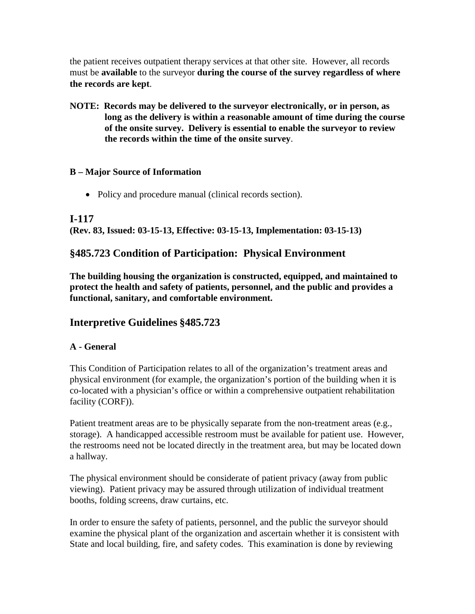the patient receives outpatient therapy services at that other site. However, all records must be **available** to the surveyor **during the course of the survey regardless of where the records are kept**.

**NOTE: Records may be delivered to the surveyor electronically, or in person, as long as the delivery is within a reasonable amount of time during the course of the onsite survey. Delivery is essential to enable the surveyor to review the records within the time of the onsite survey**.

#### **B – Major Source of Information**

• Policy and procedure manual (clinical records section).

#### **I-117**

**(Rev. 83, Issued: 03-15-13, Effective: 03-15-13, Implementation: 03-15-13)**

## **§485.723 Condition of Participation: Physical Environment**

**The building housing the organization is constructed, equipped, and maintained to protect the health and safety of patients, personnel, and the public and provides a functional, sanitary, and comfortable environment.**

## **Interpretive Guidelines §485.723**

#### **A - General**

This Condition of Participation relates to all of the organization's treatment areas and physical environment (for example, the organization's portion of the building when it is co-located with a physician's office or within a comprehensive outpatient rehabilitation facility (CORF)).

Patient treatment areas are to be physically separate from the non-treatment areas (e.g., storage). A handicapped accessible restroom must be available for patient use. However, the restrooms need not be located directly in the treatment area, but may be located down a hallway.

The physical environment should be considerate of patient privacy (away from public viewing). Patient privacy may be assured through utilization of individual treatment booths, folding screens, draw curtains, etc.

In order to ensure the safety of patients, personnel, and the public the surveyor should examine the physical plant of the organization and ascertain whether it is consistent with State and local building, fire, and safety codes. This examination is done by reviewing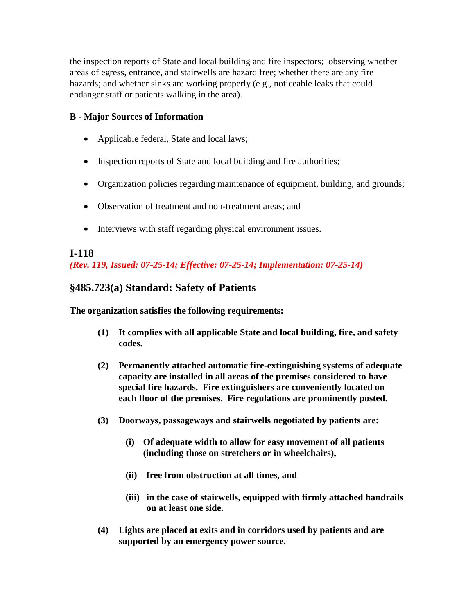the inspection reports of State and local building and fire inspectors; observing whether areas of egress, entrance, and stairwells are hazard free; whether there are any fire hazards; and whether sinks are working properly (e.g., noticeable leaks that could endanger staff or patients walking in the area).

#### **B - Major Sources of Information**

- Applicable federal, State and local laws;
- Inspection reports of State and local building and fire authorities;
- Organization policies regarding maintenance of equipment, building, and grounds;
- Observation of treatment and non-treatment areas; and
- Interviews with staff regarding physical environment issues.

#### **I-118** *(Rev. 119, Issued: 07-25-14; Effective: 07-25-14; Implementation: 07-25-14)*

## **§485.723(a) Standard: Safety of Patients**

**The organization satisfies the following requirements:** 

- **(1) It complies with all applicable State and local building, fire, and safety codes.**
- **(2) Permanently attached automatic fire-extinguishing systems of adequate capacity are installed in all areas of the premises considered to have special fire hazards. Fire extinguishers are conveniently located on each floor of the premises. Fire regulations are prominently posted.**
- **(3) Doorways, passageways and stairwells negotiated by patients are:** 
	- **(i) Of adequate width to allow for easy movement of all patients (including those on stretchers or in wheelchairs),**
	- **(ii) free from obstruction at all times, and**
	- **(iii) in the case of stairwells, equipped with firmly attached handrails on at least one side.**
- **(4) Lights are placed at exits and in corridors used by patients and are supported by an emergency power source.**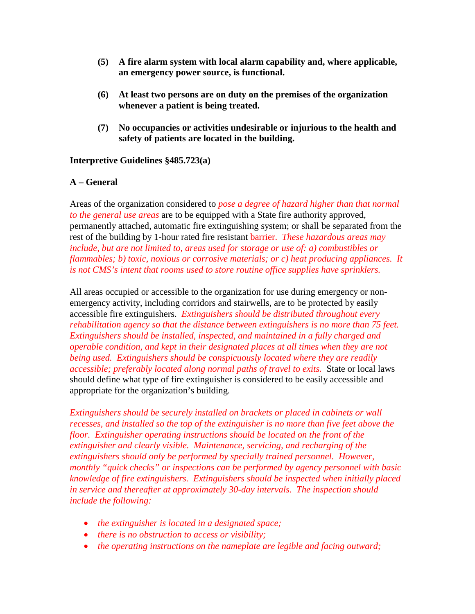- **(5) A fire alarm system with local alarm capability and, where applicable, an emergency power source, is functional.**
- **(6) At least two persons are on duty on the premises of the organization whenever a patient is being treated.**
- **(7) No occupancies or activities undesirable or injurious to the health and safety of patients are located in the building.**

#### **Interpretive Guidelines §485.723(a)**

#### **A – General**

Areas of the organization considered to *pose a degree of hazard higher than that normal to the general use areas* are to be equipped with a State fire authority approved, permanently attached, automatic fire extinguishing system; or shall be separated from the rest of the building by 1-hour rated fire resistant barrier. *These hazardous areas may include, but are not limited to, areas used for storage or use of: a) combustibles or flammables; b) toxic, noxious or corrosive materials; or c) heat producing appliances. It is not CMS's intent that rooms used to store routine office supplies have sprinklers.*

All areas occupied or accessible to the organization for use during emergency or nonemergency activity, including corridors and stairwells, are to be protected by easily accessible fire extinguishers. *Extinguishers should be distributed throughout every rehabilitation agency so that the distance between extinguishers is no more than 75 feet. Extinguishers should be installed, inspected, and maintained in a fully charged and operable condition, and kept in their designated places at all times when they are not being used. Extinguishers should be conspicuously located where they are readily accessible; preferably located along normal paths of travel to exits.* State or local laws should define what type of fire extinguisher is considered to be easily accessible and appropriate for the organization's building.

*Extinguishers should be securely installed on brackets or placed in cabinets or wall recesses, and installed so the top of the extinguisher is no more than five feet above the floor. Extinguisher operating instructions should be located on the front of the extinguisher and clearly visible. Maintenance, servicing, and recharging of the extinguishers should only be performed by specially trained personnel. However, monthly "quick checks" or inspections can be performed by agency personnel with basic knowledge of fire extinguishers. Extinguishers should be inspected when initially placed in service and thereafter at approximately 30-day intervals. The inspection should include the following:*

- *the extinguisher is located in a designated space;*
- *there is no obstruction to access or visibility;*
- *the operating instructions on the nameplate are legible and facing outward;*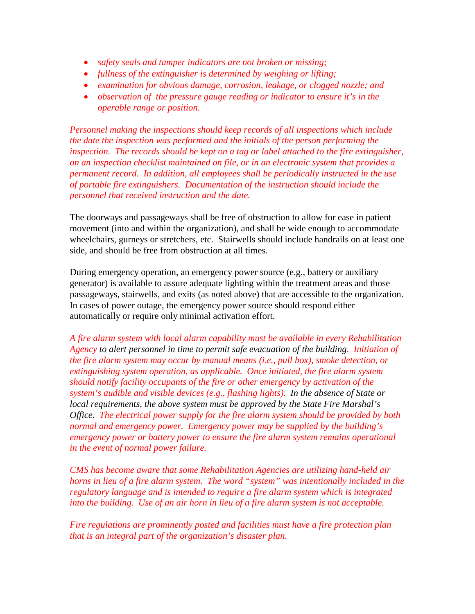- *safety seals and tamper indicators are not broken or missing;*
- *fullness of the extinguisher is determined by weighing or lifting;*
- *examination for obvious damage, corrosion, leakage, or clogged nozzle; and*
- *observation of the pressure gauge reading or indicator to ensure it's in the operable range or position.*

*Personnel making the inspections should keep records of all inspections which include the date the inspection was performed and the initials of the person performing the inspection. The records should be kept on a tag or label attached to the fire extinguisher, on an inspection checklist maintained on file, or in an electronic system that provides a permanent record. In addition, all employees shall be periodically instructed in the use of portable fire extinguishers. Documentation of the instruction should include the personnel that received instruction and the date.*

The doorways and passageways shall be free of obstruction to allow for ease in patient movement (into and within the organization), and shall be wide enough to accommodate wheelchairs, gurneys or stretchers, etc. Stairwells should include handrails on at least one side, and should be free from obstruction at all times.

During emergency operation, an emergency power source (e.g., battery or auxiliary generator) is available to assure adequate lighting within the treatment areas and those passageways, stairwells, and exits (as noted above) that are accessible to the organization. In cases of power outage, the emergency power source should respond either automatically or require only minimal activation effort.

*A fire alarm system with local alarm capability must be available in every Rehabilitation Agency to alert personnel in time to permit safe evacuation of the building. Initiation of the fire alarm system may occur by manual means (i.e., pull box), smoke detection, or extinguishing system operation, as applicable. Once initiated, the fire alarm system should notify facility occupants of the fire or other emergency by activation of the system's audible and visible devices (e.g., flashing lights). In the absence of State or local requirements, the above system must be approved by the State Fire Marshal's Office. The electrical power supply for the fire alarm system should be provided by both normal and emergency power. Emergency power may be supplied by the building's emergency power or battery power to ensure the fire alarm system remains operational in the event of normal power failure.*

*CMS has become aware that some Rehabilitation Agencies are utilizing hand-held air horns in lieu of a fire alarm system. The word "system" was intentionally included in the regulatory language and is intended to require a fire alarm system which is integrated into the building. Use of an air horn in lieu of a fire alarm system is not acceptable.*

*Fire regulations are prominently posted and facilities must have a fire protection plan that is an integral part of the organization's disaster plan.*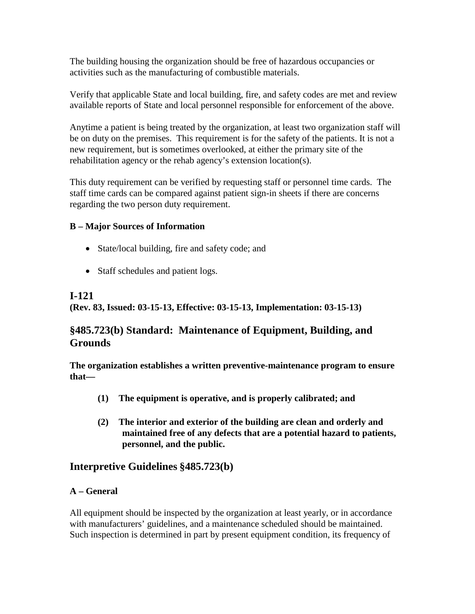The building housing the organization should be free of hazardous occupancies or activities such as the manufacturing of combustible materials.

Verify that applicable State and local building, fire, and safety codes are met and review available reports of State and local personnel responsible for enforcement of the above.

Anytime a patient is being treated by the organization, at least two organization staff will be on duty on the premises. This requirement is for the safety of the patients. It is not a new requirement, but is sometimes overlooked, at either the primary site of the rehabilitation agency or the rehab agency's extension location(s).

This duty requirement can be verified by requesting staff or personnel time cards. The staff time cards can be compared against patient sign-in sheets if there are concerns regarding the two person duty requirement.

## **B – Major Sources of Information**

- State/local building, fire and safety code; and
- Staff schedules and patient logs.

## **I-121**

**(Rev. 83, Issued: 03-15-13, Effective: 03-15-13, Implementation: 03-15-13)**

## **§485.723(b) Standard: Maintenance of Equipment, Building, and Grounds**

**The organization establishes a written preventive-maintenance program to ensure that—**

- **(1) The equipment is operative, and is properly calibrated; and**
- **(2) The interior and exterior of the building are clean and orderly and maintained free of any defects that are a potential hazard to patients, personnel, and the public.**

## **Interpretive Guidelines §485.723(b)**

## **A – General**

All equipment should be inspected by the organization at least yearly, or in accordance with manufacturers' guidelines, and a maintenance scheduled should be maintained. Such inspection is determined in part by present equipment condition, its frequency of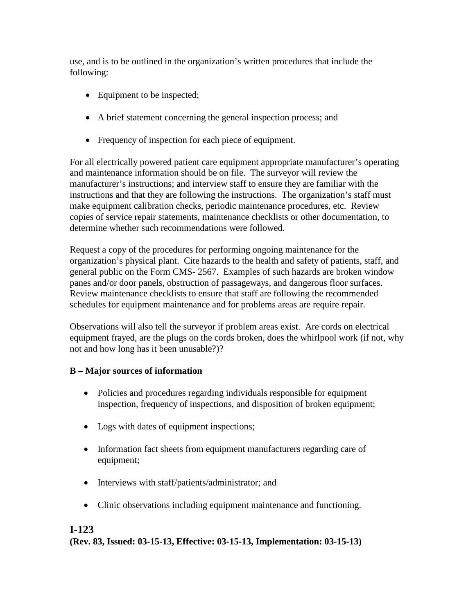use, and is to be outlined in the organization's written procedures that include the following:

- Equipment to be inspected;
- A brief statement concerning the general inspection process; and
- Frequency of inspection for each piece of equipment.

For all electrically powered patient care equipment appropriate manufacturer's operating and maintenance information should be on file. The surveyor will review the manufacturer's instructions; and interview staff to ensure they are familiar with the instructions and that they are following the instructions. The organization's staff must make equipment calibration checks, periodic maintenance procedures, etc. Review copies of service repair statements, maintenance checklists or other documentation, to determine whether such recommendations were followed.

Request a copy of the procedures for performing ongoing maintenance for the organization's physical plant. Cite hazards to the health and safety of patients, staff, and general public on the Form CMS- 2567. Examples of such hazards are broken window panes and/or door panels, obstruction of passageways, and dangerous floor surfaces. Review maintenance checklists to ensure that staff are following the recommended schedules for equipment maintenance and for problems areas are require repair.

Observations will also tell the surveyor if problem areas exist. Are cords on electrical equipment frayed, are the plugs on the cords broken, does the whirlpool work (if not, why not and how long has it been unusable?)?

## **B – Major sources of information**

- Policies and procedures regarding individuals responsible for equipment inspection, frequency of inspections, and disposition of broken equipment;
- Logs with dates of equipment inspections;
- Information fact sheets from equipment manufacturers regarding care of equipment;
- Interviews with staff/patients/administrator; and
- Clinic observations including equipment maintenance and functioning.

## **I-123 (Rev. 83, Issued: 03-15-13, Effective: 03-15-13, Implementation: 03-15-13)**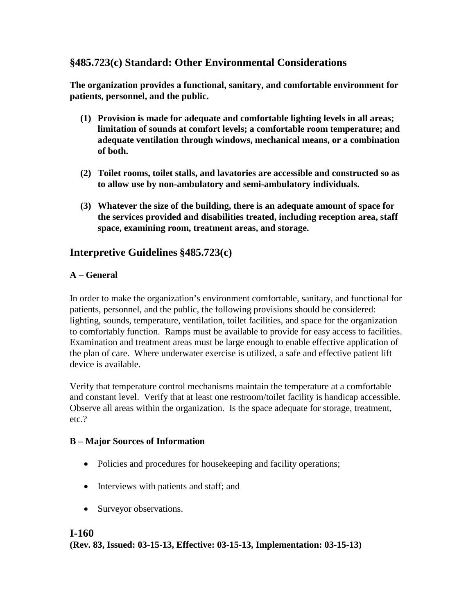## **§485.723(c) Standard: Other Environmental Considerations**

**The organization provides a functional, sanitary, and comfortable environment for patients, personnel, and the public.**

- **(1) Provision is made for adequate and comfortable lighting levels in all areas; limitation of sounds at comfort levels; a comfortable room temperature; and adequate ventilation through windows, mechanical means, or a combination of both.**
- **(2) Toilet rooms, toilet stalls, and lavatories are accessible and constructed so as to allow use by non-ambulatory and semi-ambulatory individuals.**
- **(3) Whatever the size of the building, there is an adequate amount of space for the services provided and disabilities treated, including reception area, staff space, examining room, treatment areas, and storage.**

## **Interpretive Guidelines §485.723(c)**

#### **A – General**

In order to make the organization's environment comfortable, sanitary, and functional for patients, personnel, and the public, the following provisions should be considered: lighting, sounds, temperature, ventilation, toilet facilities, and space for the organization to comfortably function. Ramps must be available to provide for easy access to facilities. Examination and treatment areas must be large enough to enable effective application of the plan of care. Where underwater exercise is utilized, a safe and effective patient lift device is available.

Verify that temperature control mechanisms maintain the temperature at a comfortable and constant level. Verify that at least one restroom/toilet facility is handicap accessible. Observe all areas within the organization. Is the space adequate for storage, treatment, etc.?

#### **B – Major Sources of Information**

- Policies and procedures for housekeeping and facility operations;
- Interviews with patients and staff; and
- Surveyor observations.

#### **I-160**

**(Rev. 83, Issued: 03-15-13, Effective: 03-15-13, Implementation: 03-15-13)**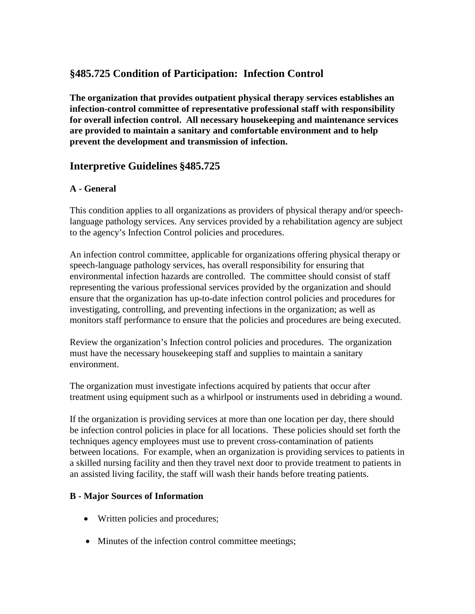## **§485.725 Condition of Participation: Infection Control**

**The organization that provides outpatient physical therapy services establishes an infection-control committee of representative professional staff with responsibility for overall infection control. All necessary housekeeping and maintenance services are provided to maintain a sanitary and comfortable environment and to help prevent the development and transmission of infection.**

## **Interpretive Guidelines §485.725**

## **A - General**

This condition applies to all organizations as providers of physical therapy and/or speechlanguage pathology services. Any services provided by a rehabilitation agency are subject to the agency's Infection Control policies and procedures.

An infection control committee, applicable for organizations offering physical therapy or speech-language pathology services, has overall responsibility for ensuring that environmental infection hazards are controlled. The committee should consist of staff representing the various professional services provided by the organization and should ensure that the organization has up-to-date infection control policies and procedures for investigating, controlling, and preventing infections in the organization; as well as monitors staff performance to ensure that the policies and procedures are being executed.

Review the organization's Infection control policies and procedures. The organization must have the necessary housekeeping staff and supplies to maintain a sanitary environment.

The organization must investigate infections acquired by patients that occur after treatment using equipment such as a whirlpool or instruments used in debriding a wound.

If the organization is providing services at more than one location per day, there should be infection control policies in place for all locations. These policies should set forth the techniques agency employees must use to prevent cross-contamination of patients between locations. For example, when an organization is providing services to patients in a skilled nursing facility and then they travel next door to provide treatment to patients in an assisted living facility, the staff will wash their hands before treating patients.

#### **B - Major Sources of Information**

- Written policies and procedures;
- Minutes of the infection control committee meetings;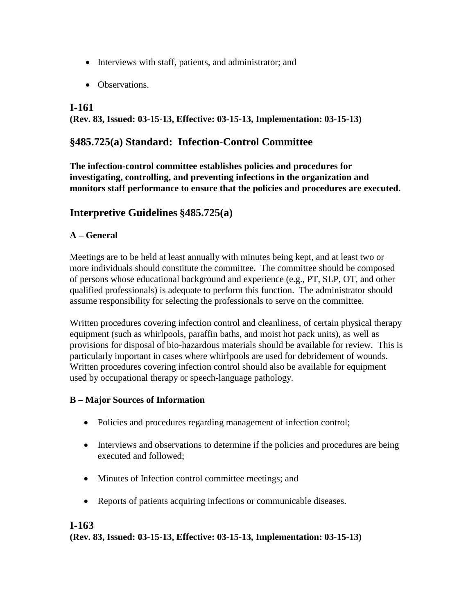- Interviews with staff, patients, and administrator; and
- Observations.

## **I-161**

**(Rev. 83, Issued: 03-15-13, Effective: 03-15-13, Implementation: 03-15-13)**

## **§485.725(a) Standard: Infection-Control Committee**

**The infection-control committee establishes policies and procedures for investigating, controlling, and preventing infections in the organization and monitors staff performance to ensure that the policies and procedures are executed.**

## **Interpretive Guidelines §485.725(a)**

#### **A – General**

Meetings are to be held at least annually with minutes being kept, and at least two or more individuals should constitute the committee. The committee should be composed of persons whose educational background and experience (e.g., PT, SLP, OT, and other qualified professionals) is adequate to perform this function. The administrator should assume responsibility for selecting the professionals to serve on the committee.

Written procedures covering infection control and cleanliness, of certain physical therapy equipment (such as whirlpools, paraffin baths, and moist hot pack units), as well as provisions for disposal of bio-hazardous materials should be available for review. This is particularly important in cases where whirlpools are used for debridement of wounds. Written procedures covering infection control should also be available for equipment used by occupational therapy or speech-language pathology.

#### **B – Major Sources of Information**

- Policies and procedures regarding management of infection control;
- Interviews and observations to determine if the policies and procedures are being executed and followed;
- Minutes of Infection control committee meetings; and
- Reports of patients acquiring infections or communicable diseases.

## **I-163**

**(Rev. 83, Issued: 03-15-13, Effective: 03-15-13, Implementation: 03-15-13)**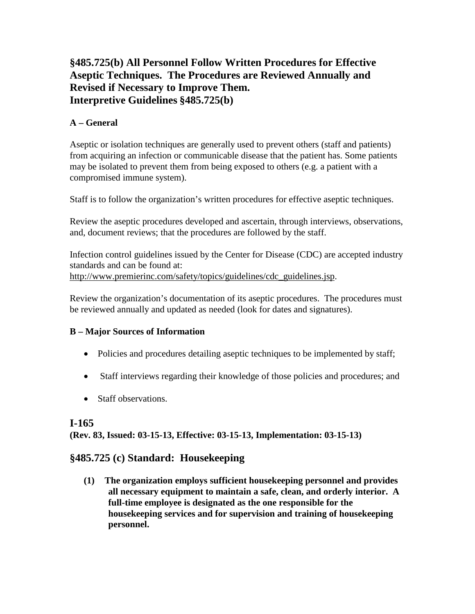## **§485.725(b) All Personnel Follow Written Procedures for Effective Aseptic Techniques. The Procedures are Reviewed Annually and Revised if Necessary to Improve Them. Interpretive Guidelines §485.725(b)**

## **A – General**

Aseptic or isolation techniques are generally used to prevent others (staff and patients) from acquiring an infection or communicable disease that the patient has. Some patients may be isolated to prevent them from being exposed to others (e.g. a patient with a compromised immune system).

Staff is to follow the organization's written procedures for effective aseptic techniques.

Review the aseptic procedures developed and ascertain, through interviews, observations, and, document reviews; that the procedures are followed by the staff.

Infection control guidelines issued by the Center for Disease (CDC) are accepted industry standards and can be found at: [http://www.premierinc.com/safety/topics/guidelines/cdc\\_guidelines.jsp.](http://www.premierinc.com/safety/topics/guidelines/cdc_guidelines.jsp)

Review the organization's documentation of its aseptic procedures. The procedures must be reviewed annually and updated as needed (look for dates and signatures).

## **B – Major Sources of Information**

- Policies and procedures detailing aseptic techniques to be implemented by staff;
- Staff interviews regarding their knowledge of those policies and procedures; and
- Staff observations.

## **I-165**

**(Rev. 83, Issued: 03-15-13, Effective: 03-15-13, Implementation: 03-15-13)**

## **§485.725 (c) Standard: Housekeeping**

**(1) The organization employs sufficient housekeeping personnel and provides all necessary equipment to maintain a safe, clean, and orderly interior. A full-time employee is designated as the one responsible for the housekeeping services and for supervision and training of housekeeping personnel.**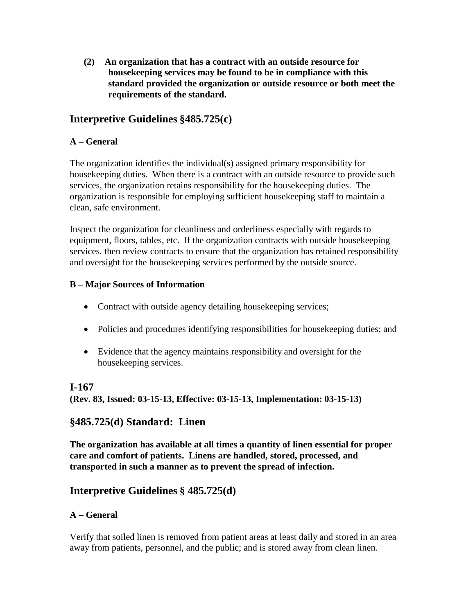**(2) An organization that has a contract with an outside resource for housekeeping services may be found to be in compliance with this standard provided the organization or outside resource or both meet the requirements of the standard.**

## **Interpretive Guidelines §485.725(c)**

#### **A – General**

The organization identifies the individual(s) assigned primary responsibility for housekeeping duties. When there is a contract with an outside resource to provide such services, the organization retains responsibility for the housekeeping duties. The organization is responsible for employing sufficient housekeeping staff to maintain a clean, safe environment.

Inspect the organization for cleanliness and orderliness especially with regards to equipment, floors, tables, etc. If the organization contracts with outside housekeeping services. then review contracts to ensure that the organization has retained responsibility and oversight for the housekeeping services performed by the outside source.

#### **B – Major Sources of Information**

- Contract with outside agency detailing housekeeping services;
- Policies and procedures identifying responsibilities for house keeping duties; and
- Evidence that the agency maintains responsibility and oversight for the housekeeping services.

## **I-167**

**(Rev. 83, Issued: 03-15-13, Effective: 03-15-13, Implementation: 03-15-13)**

## **§485.725(d) Standard: Linen**

**The organization has available at all times a quantity of linen essential for proper care and comfort of patients. Linens are handled, stored, processed, and transported in such a manner as to prevent the spread of infection.**

## **Interpretive Guidelines § 485.725(d)**

## **A – General**

Verify that soiled linen is removed from patient areas at least daily and stored in an area away from patients, personnel, and the public; and is stored away from clean linen.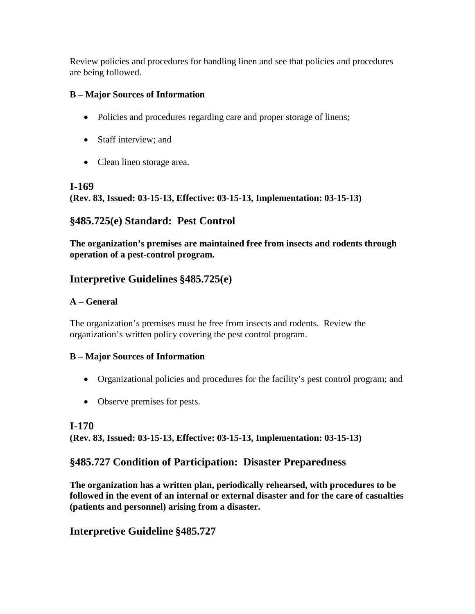Review policies and procedures for handling linen and see that policies and procedures are being followed.

## **B – Major Sources of Information**

- Policies and procedures regarding care and proper storage of linens;
- Staff interview; and
- Clean linen storage area.

## **I-169**

**(Rev. 83, Issued: 03-15-13, Effective: 03-15-13, Implementation: 03-15-13)**

## **§485.725(e) Standard: Pest Control**

**The organization's premises are maintained free from insects and rodents through operation of a pest-control program.**

## **Interpretive Guidelines §485.725(e)**

## **A – General**

The organization's premises must be free from insects and rodents. Review the organization's written policy covering the pest control program.

## **B – Major Sources of Information**

- Organizational policies and procedures for the facility's pest control program; and
- Observe premises for pests.

## **I-170**

**(Rev. 83, Issued: 03-15-13, Effective: 03-15-13, Implementation: 03-15-13)**

## **§485.727 Condition of Participation: Disaster Preparedness**

**The organization has a written plan, periodically rehearsed, with procedures to be followed in the event of an internal or external disaster and for the care of casualties (patients and personnel) arising from a disaster.**

## **Interpretive Guideline §485.727**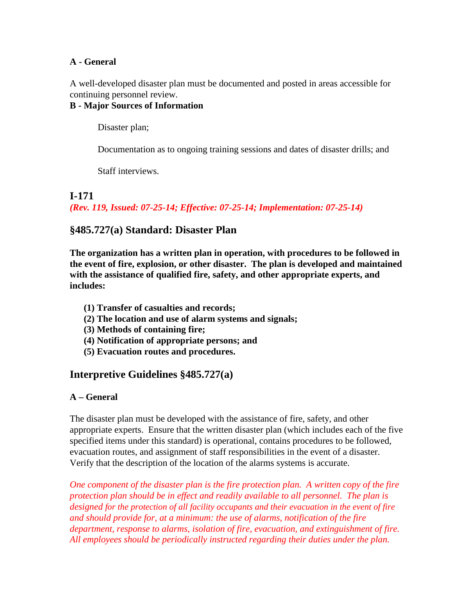#### **A - General**

A well-developed disaster plan must be documented and posted in areas accessible for continuing personnel review.

#### **B - Major Sources of Information**

Disaster plan;

Documentation as to ongoing training sessions and dates of disaster drills; and

Staff interviews.

#### **I-171**

*(Rev. 119, Issued: 07-25-14; Effective: 07-25-14; Implementation: 07-25-14)*

## **§485.727(a) Standard: Disaster Plan**

**The organization has a written plan in operation, with procedures to be followed in the event of fire, explosion, or other disaster. The plan is developed and maintained with the assistance of qualified fire, safety, and other appropriate experts, and includes:**

- **(1) Transfer of casualties and records;**
- **(2) The location and use of alarm systems and signals;**
- **(3) Methods of containing fire;**
- **(4) Notification of appropriate persons; and**
- **(5) Evacuation routes and procedures.**

## **Interpretive Guidelines §485.727(a)**

#### **A – General**

The disaster plan must be developed with the assistance of fire, safety, and other appropriate experts. Ensure that the written disaster plan (which includes each of the five specified items under this standard) is operational, contains procedures to be followed, evacuation routes, and assignment of staff responsibilities in the event of a disaster. Verify that the description of the location of the alarms systems is accurate.

*One component of the disaster plan is the fire protection plan. A written copy of the fire protection plan should be in effect and readily available to all personnel. The plan is designed for the protection of all facility occupants and their evacuation in the event of fire and should provide for, at a minimum: the use of alarms, notification of the fire department, response to alarms, isolation of fire, evacuation, and extinguishment of fire. All employees should be periodically instructed regarding their duties under the plan.*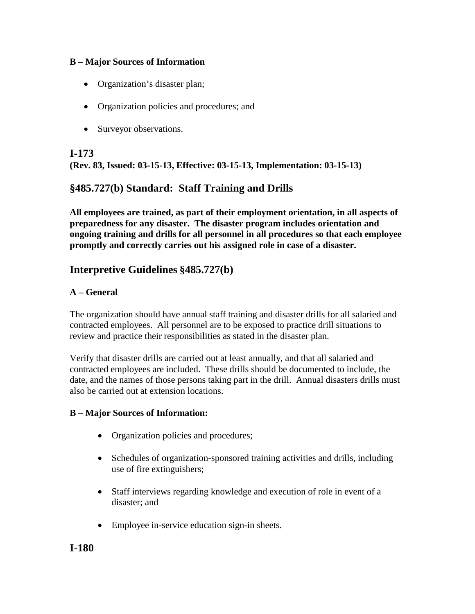#### **B – Major Sources of Information**

- Organization's disaster plan;
- Organization policies and procedures; and
- Surveyor observations.

**I-173 (Rev. 83, Issued: 03-15-13, Effective: 03-15-13, Implementation: 03-15-13)**

## **§485.727(b) Standard: Staff Training and Drills**

**All employees are trained, as part of their employment orientation, in all aspects of preparedness for any disaster. The disaster program includes orientation and ongoing training and drills for all personnel in all procedures so that each employee promptly and correctly carries out his assigned role in case of a disaster.**

## **Interpretive Guidelines §485.727(b)**

#### **A – General**

The organization should have annual staff training and disaster drills for all salaried and contracted employees. All personnel are to be exposed to practice drill situations to review and practice their responsibilities as stated in the disaster plan.

Verify that disaster drills are carried out at least annually, and that all salaried and contracted employees are included. These drills should be documented to include, the date, and the names of those persons taking part in the drill. Annual disasters drills must also be carried out at extension locations.

## **B – Major Sources of Information:**

- Organization policies and procedures;
- Schedules of organization-sponsored training activities and drills, including use of fire extinguishers;
- Staff interviews regarding knowledge and execution of role in event of a disaster; and
- Employee in-service education sign-in sheets.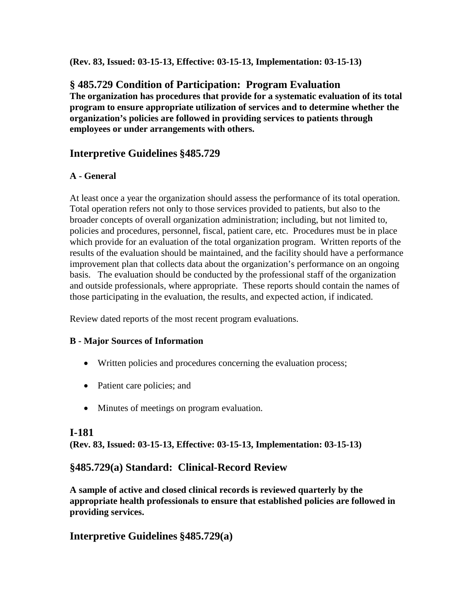**(Rev. 83, Issued: 03-15-13, Effective: 03-15-13, Implementation: 03-15-13)**

## **§ 485.729 Condition of Participation: Program Evaluation**

**The organization has procedures that provide for a systematic evaluation of its total program to ensure appropriate utilization of services and to determine whether the organization's policies are followed in providing services to patients through employees or under arrangements with others.**

## **Interpretive Guidelines §485.729**

## **A - General**

At least once a year the organization should assess the performance of its total operation. Total operation refers not only to those services provided to patients, but also to the broader concepts of overall organization administration; including, but not limited to, policies and procedures, personnel, fiscal, patient care, etc. Procedures must be in place which provide for an evaluation of the total organization program. Written reports of the results of the evaluation should be maintained, and the facility should have a performance improvement plan that collects data about the organization's performance on an ongoing basis. The evaluation should be conducted by the professional staff of the organization and outside professionals, where appropriate. These reports should contain the names of those participating in the evaluation, the results, and expected action, if indicated.

Review dated reports of the most recent program evaluations.

## **B - Major Sources of Information**

- Written policies and procedures concerning the evaluation process;
- Patient care policies; and
- Minutes of meetings on program evaluation.

## **I-181**

**(Rev. 83, Issued: 03-15-13, Effective: 03-15-13, Implementation: 03-15-13)**

## **§485.729(a) Standard: Clinical-Record Review**

**A sample of active and closed clinical records is reviewed quarterly by the appropriate health professionals to ensure that established policies are followed in providing services.**

## **Interpretive Guidelines §485.729(a)**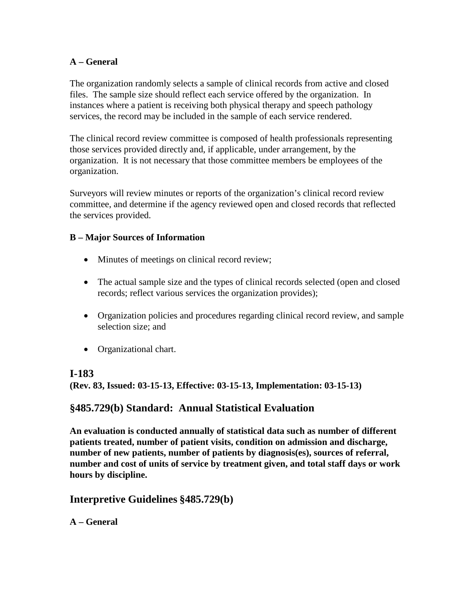#### **A – General**

The organization randomly selects a sample of clinical records from active and closed files. The sample size should reflect each service offered by the organization. In instances where a patient is receiving both physical therapy and speech pathology services, the record may be included in the sample of each service rendered.

The clinical record review committee is composed of health professionals representing those services provided directly and, if applicable, under arrangement, by the organization. It is not necessary that those committee members be employees of the organization.

Surveyors will review minutes or reports of the organization's clinical record review committee, and determine if the agency reviewed open and closed records that reflected the services provided.

#### **B – Major Sources of Information**

- Minutes of meetings on clinical record review;
- The actual sample size and the types of clinical records selected (open and closed records; reflect various services the organization provides);
- Organization policies and procedures regarding clinical record review, and sample selection size; and
- Organizational chart.

#### **I-183**

**(Rev. 83, Issued: 03-15-13, Effective: 03-15-13, Implementation: 03-15-13)**

## **§485.729(b) Standard: Annual Statistical Evaluation**

**An evaluation is conducted annually of statistical data such as number of different patients treated, number of patient visits, condition on admission and discharge, number of new patients, number of patients by diagnosis(es), sources of referral, number and cost of units of service by treatment given, and total staff days or work hours by discipline.**

## **Interpretive Guidelines §485.729(b)**

**A – General**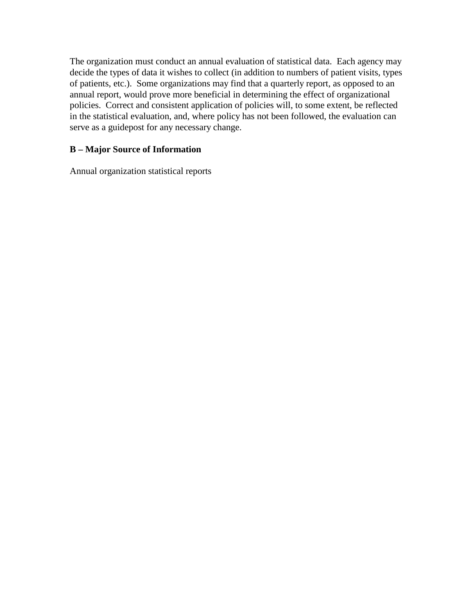The organization must conduct an annual evaluation of statistical data. Each agency may decide the types of data it wishes to collect (in addition to numbers of patient visits, types of patients, etc.). Some organizations may find that a quarterly report, as opposed to an annual report, would prove more beneficial in determining the effect of organizational policies. Correct and consistent application of policies will, to some extent, be reflected in the statistical evaluation, and, where policy has not been followed, the evaluation can serve as a guidepost for any necessary change.

### **B – Major Source of Information**

Annual organization statistical reports